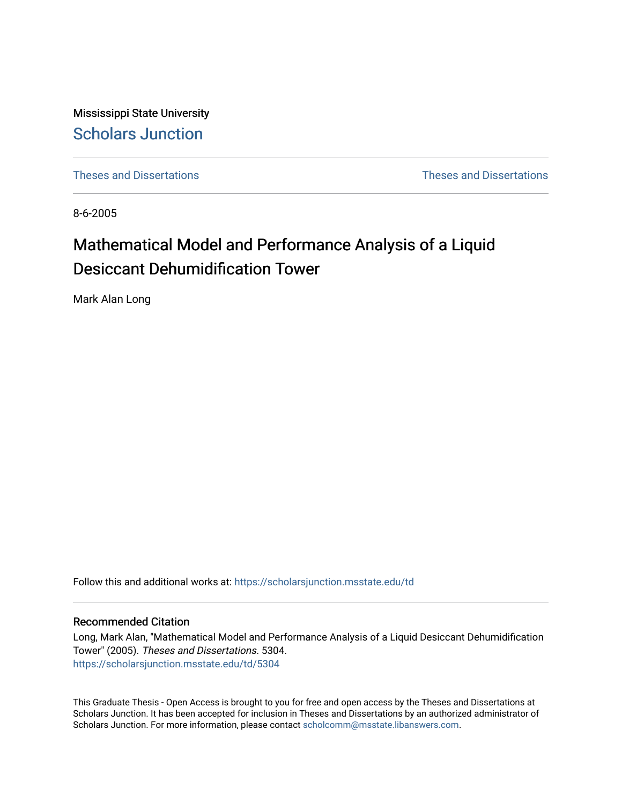Mississippi State University [Scholars Junction](https://scholarsjunction.msstate.edu/) 

[Theses and Dissertations](https://scholarsjunction.msstate.edu/td) [Theses and Dissertations](https://scholarsjunction.msstate.edu/theses-dissertations) 

8-6-2005

# Mathematical Model and Performance Analysis of a Liquid Desiccant Dehumidification Tower

Mark Alan Long

Follow this and additional works at: [https://scholarsjunction.msstate.edu/td](https://scholarsjunction.msstate.edu/td?utm_source=scholarsjunction.msstate.edu%2Ftd%2F5304&utm_medium=PDF&utm_campaign=PDFCoverPages) 

#### Recommended Citation

Long, Mark Alan, "Mathematical Model and Performance Analysis of a Liquid Desiccant Dehumidification Tower" (2005). Theses and Dissertations. 5304. [https://scholarsjunction.msstate.edu/td/5304](https://scholarsjunction.msstate.edu/td/5304?utm_source=scholarsjunction.msstate.edu%2Ftd%2F5304&utm_medium=PDF&utm_campaign=PDFCoverPages) 

This Graduate Thesis - Open Access is brought to you for free and open access by the Theses and Dissertations at Scholars Junction. It has been accepted for inclusion in Theses and Dissertations by an authorized administrator of Scholars Junction. For more information, please contact [scholcomm@msstate.libanswers.com.](mailto:scholcomm@msstate.libanswers.com)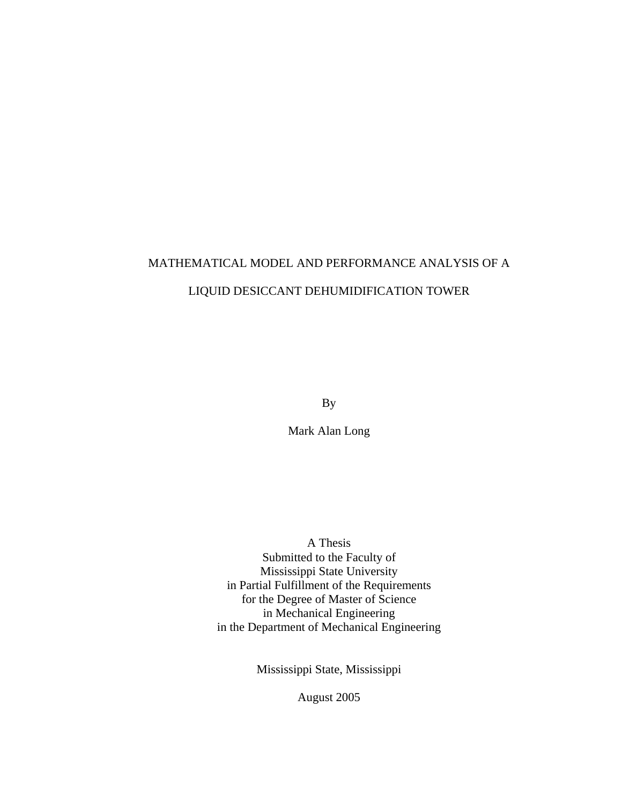# MATHEMATICAL MODEL AND PERFORMANCE ANALYSIS OF A LIQUID DESICCANT DEHUMIDIFICATION TOWER

By

Mark Alan Long

A Thesis Submitted to the Faculty of Mississippi State University in Partial Fulfillment of the Requirements for the Degree of Master of Science in Mechanical Engineering in the Department of Mechanical Engineering

Mississippi State, Mississippi

August 2005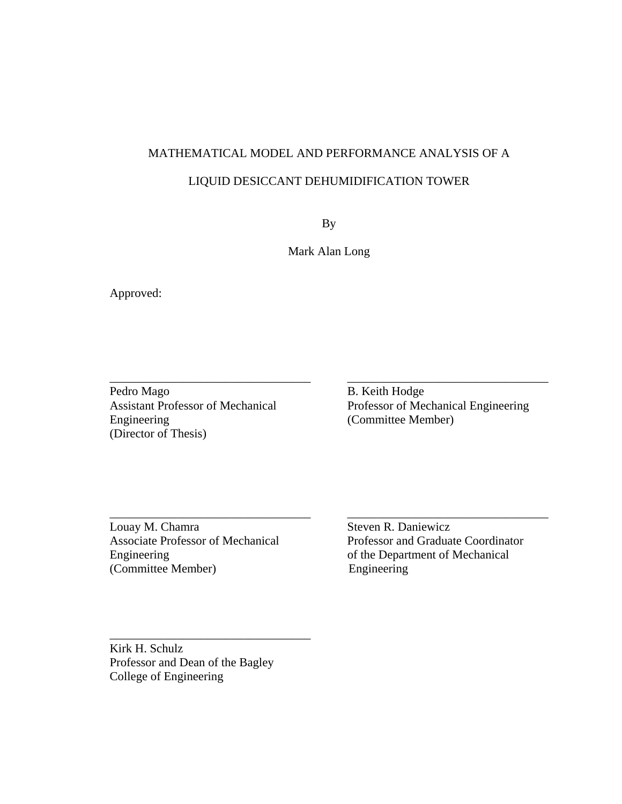# MATHEMATICAL MODEL AND PERFORMANCE ANALYSIS OF A

# LIQUID DESICCANT DEHUMIDIFICATION TOWER

By

Mark Alan Long

\_\_\_\_\_\_\_\_\_\_\_\_\_\_\_\_\_\_\_\_\_\_\_\_\_\_\_\_\_\_\_\_\_ \_\_\_\_\_\_\_\_\_\_\_\_\_\_\_\_\_\_\_\_\_\_\_\_\_\_\_\_\_\_\_\_\_

Approved:

\_\_\_\_\_\_\_\_\_\_\_\_\_\_\_\_\_\_\_\_\_\_\_\_\_\_\_\_\_\_\_\_\_ \_\_\_\_\_\_\_\_\_\_\_\_\_\_\_\_\_\_\_\_\_\_\_\_\_\_\_\_\_\_\_\_\_ Pedro Mago B. Keith Hodge Engineering (Committee Member) (Director of Thesis)

Assistant Professor of Mechanical Professor of Mechanical Engineering

Louay M. Chamra Steven R. Daniewicz Engineering of the Department of Mechanical (Committee Member) Engineering

Associate Professor of Mechanical Professor and Graduate Coordinator

Kirk H. Schulz Professor and Dean of the Bagley College of Engineering

\_\_\_\_\_\_\_\_\_\_\_\_\_\_\_\_\_\_\_\_\_\_\_\_\_\_\_\_\_\_\_\_\_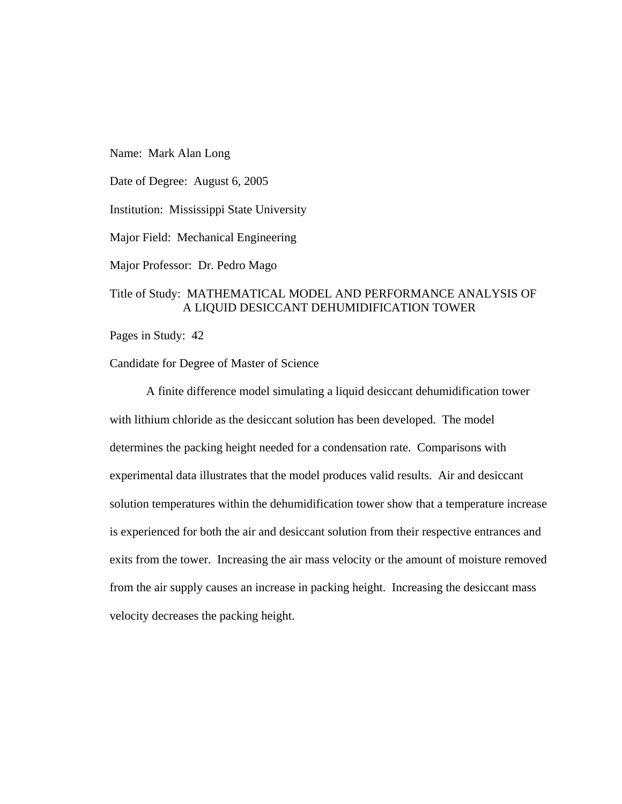Name: Mark Alan Long

Date of Degree: August 6, 2005

Institution: Mississippi State University

Major Field: Mechanical Engineering

Major Professor: Dr. Pedro Mago

#### Title of Study: MATHEMATICAL MODEL AND PERFORMANCE ANALYSIS OF A LIQUID DESICCANT DEHUMIDIFICATION TOWER

Pages in Study: 42

Candidate for Degree of Master of Science

A finite difference model simulating a liquid desiccant dehumidification tower with lithium chloride as the desiccant solution has been developed. The model determines the packing height needed for a condensation rate. Comparisons with experimental data illustrates that the model produces valid results. Air and desiccant solution temperatures within the dehumidification tower show that a temperature increase is experienced for both the air and desiccant solution from their respective entrances and exits from the tower. Increasing the air mass velocity or the amount of moisture removed from the air supply causes an increase in packing height. Increasing the desiccant mass velocity decreases the packing height.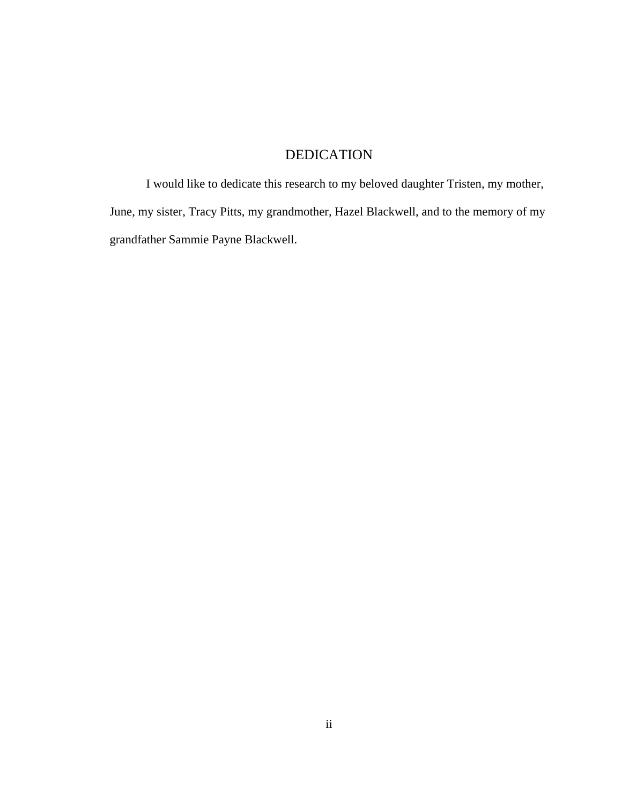# DEDICATION

I would like to dedicate this research to my beloved daughter Tristen, my mother, June, my sister, Tracy Pitts, my grandmother, Hazel Blackwell, and to the memory of my grandfather Sammie Payne Blackwell.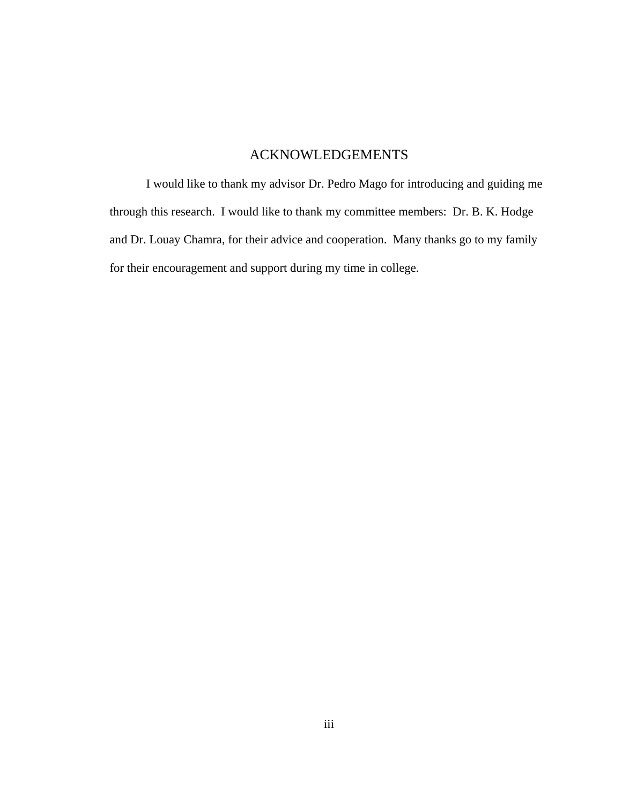## ACKNOWLEDGEMENTS

I would like to thank my advisor Dr. Pedro Mago for introducing and guiding me through this research. I would like to thank my committee members: Dr. B. K. Hodge and Dr. Louay Chamra, for their advice and cooperation. Many thanks go to my family for their encouragement and support during my time in college.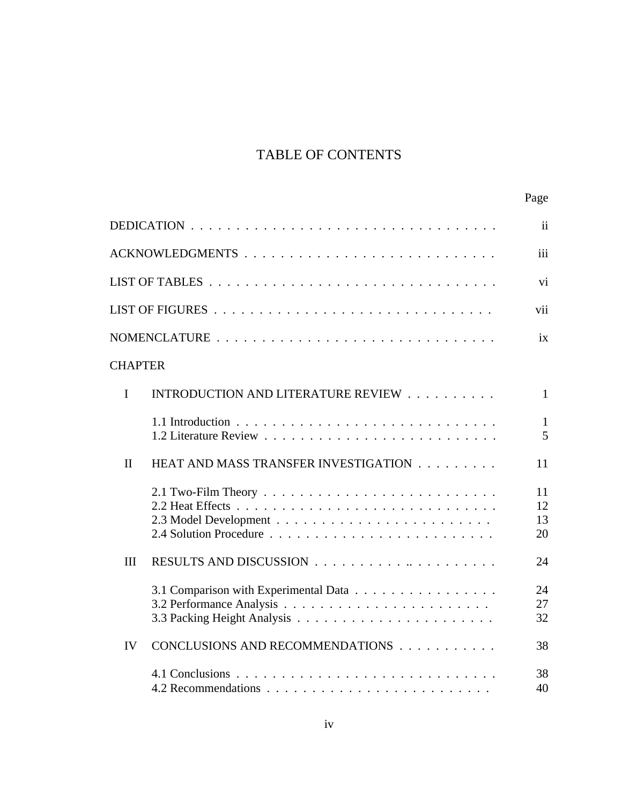# TABLE OF CONTENTS

|                |                                       | $\ddot{\mathbf{i}}$  |
|----------------|---------------------------------------|----------------------|
|                |                                       | iii                  |
|                |                                       | vi                   |
|                |                                       | vii                  |
|                |                                       | ix                   |
| <b>CHAPTER</b> |                                       |                      |
| $\mathbf I$    | INTRODUCTION AND LITERATURE REVIEW    | $\mathbf{1}$         |
|                |                                       | $\mathbf{1}$<br>5    |
| $\mathbf{I}$   | HEAT AND MASS TRANSFER INVESTIGATION  | 11                   |
|                |                                       | 11<br>12<br>13<br>20 |
| III            |                                       | 24                   |
|                | 3.1 Comparison with Experimental Data | 24<br>27<br>32       |
| IV             | CONCLUSIONS AND RECOMMENDATIONS       | 38                   |
|                |                                       | 38<br>40             |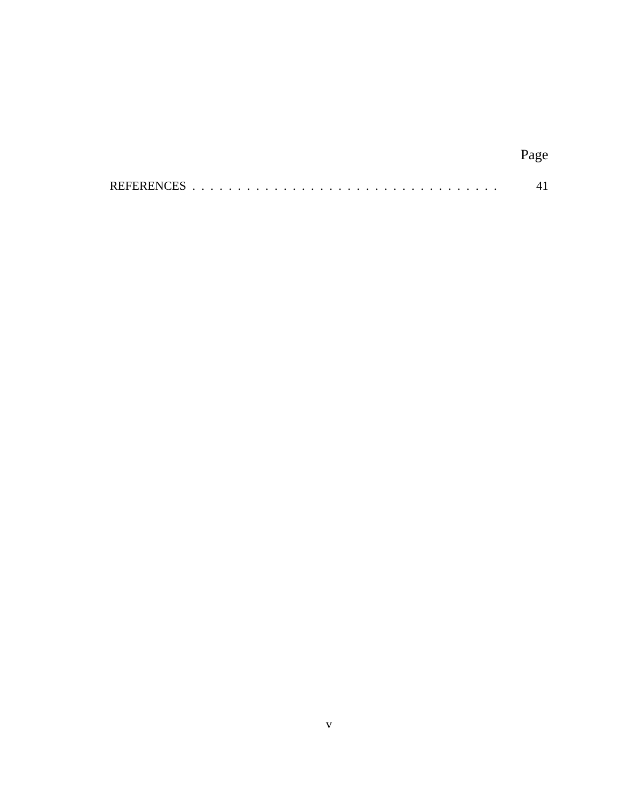| . . |  |
|-----|--|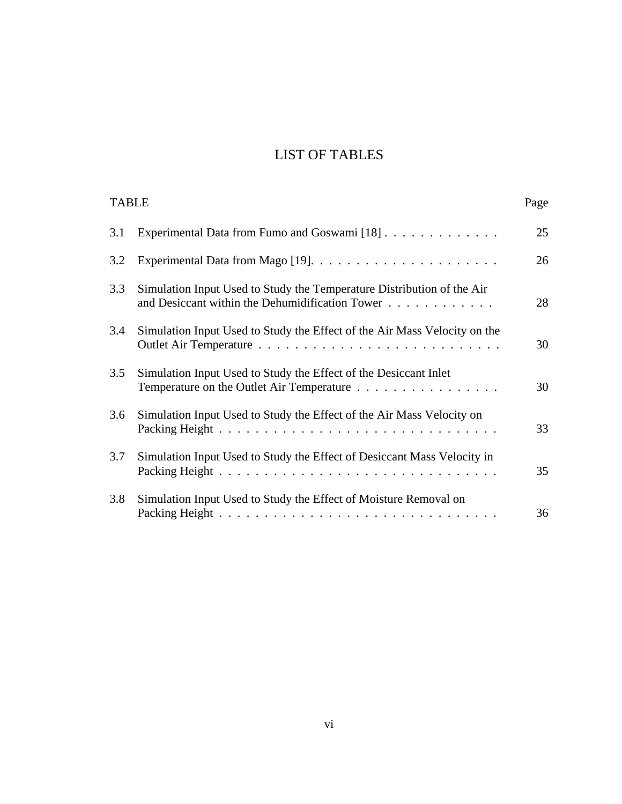# LIST OF TABLES

| <b>TABLE</b> |                                                                                                                           | Page |
|--------------|---------------------------------------------------------------------------------------------------------------------------|------|
| 3.1          | Experimental Data from Fumo and Goswami [18]                                                                              | 25   |
| 3.2          |                                                                                                                           | 26   |
| 3.3          | Simulation Input Used to Study the Temperature Distribution of the Air<br>and Desiccant within the Dehumidification Tower | 28   |
| 3.4          | Simulation Input Used to Study the Effect of the Air Mass Velocity on the                                                 | 30   |
| 3.5          | Simulation Input Used to Study the Effect of the Desiccant Inlet<br>Temperature on the Outlet Air Temperature             | 30   |
| 3.6          | Simulation Input Used to Study the Effect of the Air Mass Velocity on                                                     | 33   |
| 3.7          | Simulation Input Used to Study the Effect of Desiccant Mass Velocity in                                                   | 35   |
| 3.8          | Simulation Input Used to Study the Effect of Moisture Removal on                                                          | 36   |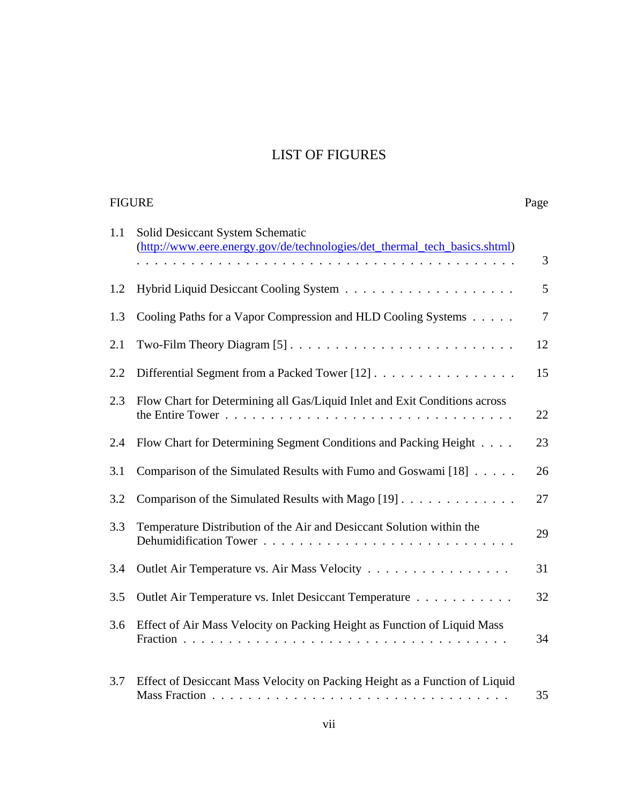# LIST OF FIGURES

FIGURE Page

| 1.1 | Solid Desiccant System Schematic<br>(http://www.eere.energy.gov/de/technologies/det_thermal_tech_basics.shtml)                                                                |                |
|-----|-------------------------------------------------------------------------------------------------------------------------------------------------------------------------------|----------------|
|     |                                                                                                                                                                               | $\mathfrak{Z}$ |
| 1.2 |                                                                                                                                                                               | 5              |
| 1.3 | Cooling Paths for a Vapor Compression and HLD Cooling Systems                                                                                                                 | $\tau$         |
| 2.1 |                                                                                                                                                                               | 12             |
| 2.2 | Differential Segment from a Packed Tower [12]                                                                                                                                 | 15             |
| 2.3 | Flow Chart for Determining all Gas/Liquid Inlet and Exit Conditions across<br>the Entire Tower $\ldots \ldots \ldots \ldots \ldots \ldots \ldots \ldots \ldots \ldots \ldots$ | 22             |
| 2.4 | Flow Chart for Determining Segment Conditions and Packing Height                                                                                                              | 23             |
| 3.1 | Comparison of the Simulated Results with Fumo and Goswami [18]                                                                                                                | 26             |
| 3.2 | Comparison of the Simulated Results with Mago [19]                                                                                                                            | 27             |
| 3.3 | Temperature Distribution of the Air and Desiccant Solution within the                                                                                                         | 29             |
| 3.4 | Outlet Air Temperature vs. Air Mass Velocity                                                                                                                                  | 31             |
| 3.5 | Outlet Air Temperature vs. Inlet Desiccant Temperature                                                                                                                        | 32             |
| 3.6 | Effect of Air Mass Velocity on Packing Height as Function of Liquid Mass                                                                                                      | 34             |
| 3.7 | Effect of Desiccant Mass Velocity on Packing Height as a Function of Liquid                                                                                                   | 35             |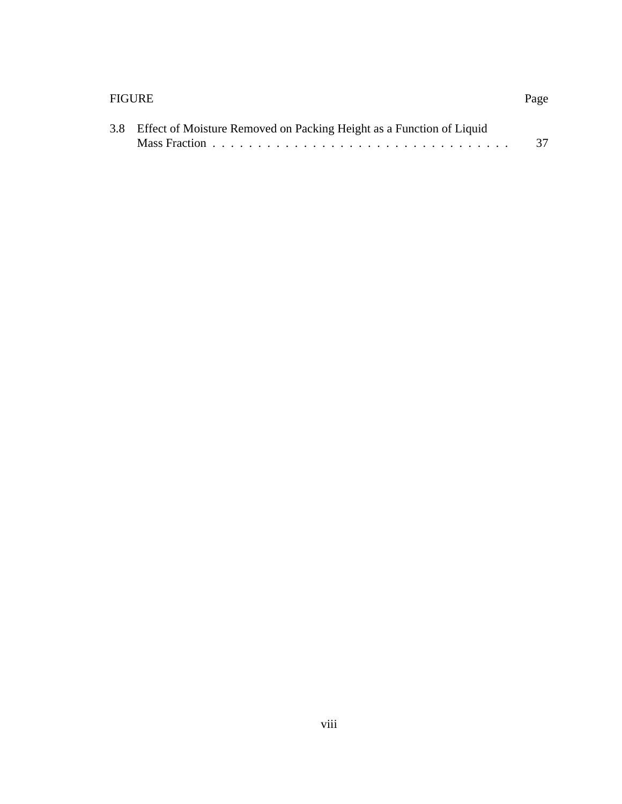| <b>FIGURE</b> | Page |
|---------------|------|
|---------------|------|

| 3.8 Effect of Moisture Removed on Packing Height as a Function of Liquid |    |  |  |  |
|--------------------------------------------------------------------------|----|--|--|--|
|                                                                          | 37 |  |  |  |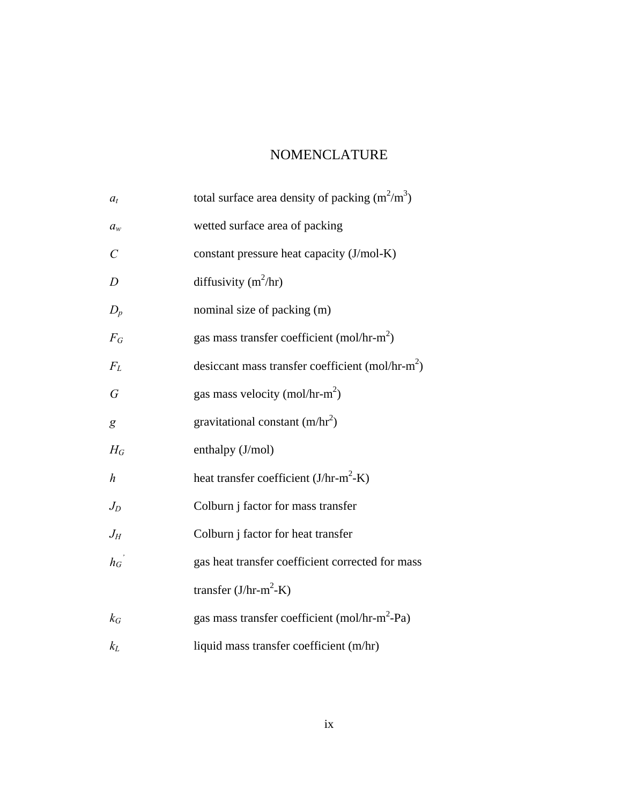# NOMENCLATURE

| $a_t$                 | total surface area density of packing $(m^2/m^3)$            |
|-----------------------|--------------------------------------------------------------|
| $a_w$                 | wetted surface area of packing                               |
| $\mathcal{C}_{0}^{0}$ | constant pressure heat capacity (J/mol-K)                    |
| $\overline{D}$        | diffusivity $(m^2/hr)$                                       |
| $D_p$                 | nominal size of packing (m)                                  |
| $F_G$                 | gas mass transfer coefficient (mol/hr-m <sup>2</sup> )       |
| $F_L$                 | desiccant mass transfer coefficient (mol/hr-m <sup>2</sup> ) |
| G                     | gas mass velocity (mol/hr-m <sup>2</sup> )                   |
| g                     | gravitational constant $(m/hr2)$                             |
| $H_G$                 | enthalpy (J/mol)                                             |
| h                     | heat transfer coefficient $(J/hr-m^2-K)$                     |
| $J_D$                 | Colburn <i>j</i> factor for mass transfer                    |
| $J_H$                 | Colburn j factor for heat transfer                           |
| $h_G$ <sup>'</sup>    | gas heat transfer coefficient corrected for mass             |
|                       | transfer $(J/hr-m^2-K)$                                      |
| $k_G$                 | gas mass transfer coefficient (mol/hr-m <sup>2</sup> -Pa)    |
| $k_L$                 | liquid mass transfer coefficient (m/hr)                      |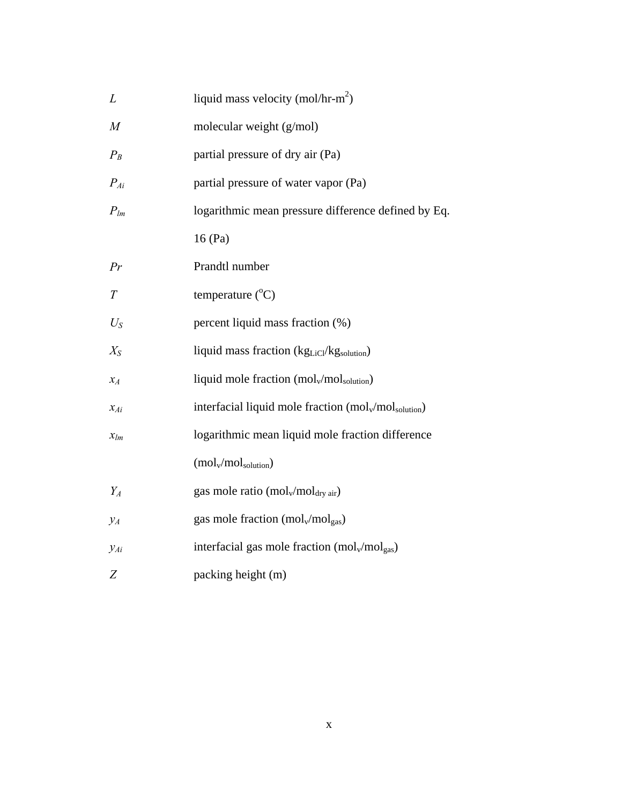| L              | liquid mass velocity (mol/hr-m <sup>2</sup> )                                 |
|----------------|-------------------------------------------------------------------------------|
| $\overline{M}$ | molecular weight (g/mol)                                                      |
| $P_B$          | partial pressure of dry air (Pa)                                              |
| $P_{Ai}$       | partial pressure of water vapor (Pa)                                          |
| $P_{lm}$       | logarithmic mean pressure difference defined by Eq.                           |
|                | 16(Pa)                                                                        |
| Pr             | Prandtl number                                                                |
| T              | temperature $(^{\circ}C)$                                                     |
| $U_{S}$        | percent liquid mass fraction (%)                                              |
| $X_{S}$        | liquid mass fraction (kg <sub>LiCl</sub> /kg <sub>solution</sub> )            |
| $x_A$          | liquid mole fraction (mol <sub>v</sub> /mol <sub>solution</sub> )             |
| $x_{Ai}$       | interfacial liquid mole fraction (mol <sub>v</sub> /mol <sub>solution</sub> ) |
| $x_{lm}$       | logarithmic mean liquid mole fraction difference                              |
|                | $(mol_v/mol_{\text{solution}})$                                               |
| $Y_A$          | gas mole ratio (mol <sub>v</sub> /mol <sub>dry air</sub> )                    |
| $y_A$          | gas mole fraction $(mol_v/mol_{gas})$                                         |
| $y_{Ai}$       | interfacial gas mole fraction $(mol_v/mol_{gas})$                             |
| Z              | packing height (m)                                                            |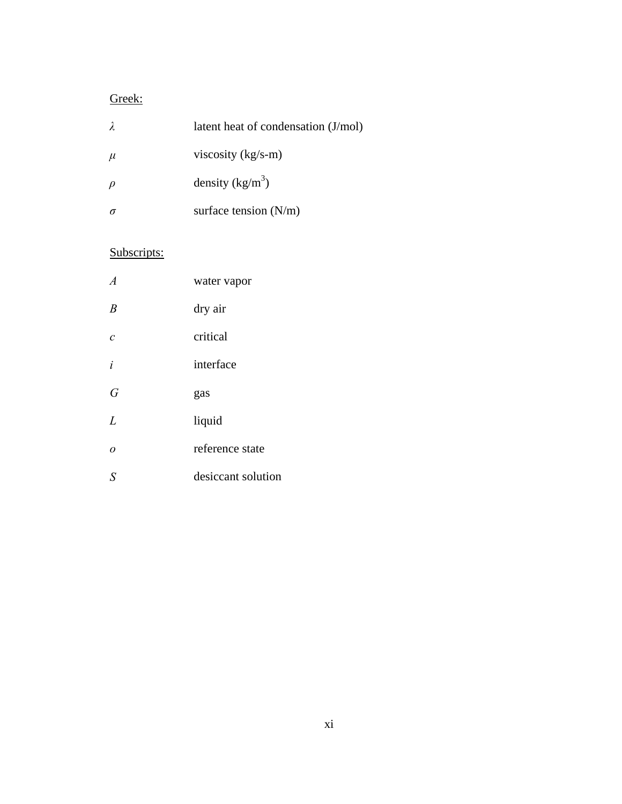# Greek:

|       | latent heat of condensation (J/mol) |
|-------|-------------------------------------|
| $\mu$ | viscosity $(kg/s-m)$                |
|       | density $(kg/m^3)$                  |
|       | surface tension $(N/m)$             |

# Subscripts:

| $\overline{A}$    | water vapor        |
|-------------------|--------------------|
| B                 | dry air            |
| $\mathcal{C}_{0}$ | critical           |
| i                 | interface          |
| G                 | gas                |
| L                 | liquid             |
| $\Omega$          | reference state    |
| S                 | desiccant solution |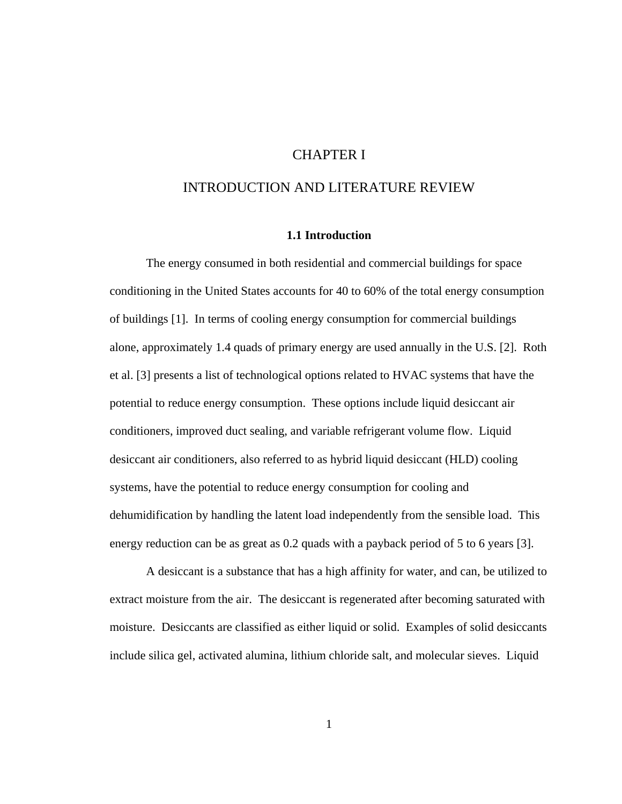## CHAPTER I

#### INTRODUCTION AND LITERATURE REVIEW

#### **1.1 Introduction**

The energy consumed in both residential and commercial buildings for space conditioning in the United States accounts for 40 to 60% of the total energy consumption of buildings [1]. In terms of cooling energy consumption for commercial buildings alone, approximately 1.4 quads of primary energy are used annually in the U.S. [2]. Roth et al. [3] presents a list of technological options related to HVAC systems that have the potential to reduce energy consumption. These options include liquid desiccant air conditioners, improved duct sealing, and variable refrigerant volume flow. Liquid desiccant air conditioners, also referred to as hybrid liquid desiccant (HLD) cooling systems, have the potential to reduce energy consumption for cooling and dehumidification by handling the latent load independently from the sensible load. This energy reduction can be as great as 0.2 quads with a payback period of 5 to 6 years [3].

A desiccant is a substance that has a high affinity for water, and can, be utilized to extract moisture from the air. The desiccant is regenerated after becoming saturated with moisture. Desiccants are classified as either liquid or solid. Examples of solid desiccants include silica gel, activated alumina, lithium chloride salt, and molecular sieves. Liquid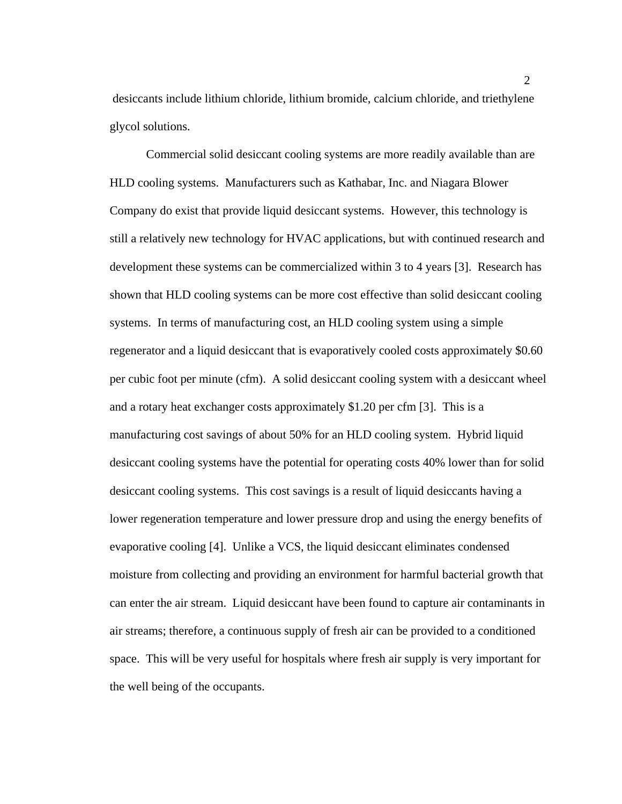desiccants include lithium chloride, lithium bromide, calcium chloride, and triethylene glycol solutions.

Commercial solid desiccant cooling systems are more readily available than are HLD cooling systems. Manufacturers such as Kathabar, Inc. and Niagara Blower Company do exist that provide liquid desiccant systems. However, this technology is still a relatively new technology for HVAC applications, but with continued research and development these systems can be commercialized within 3 to 4 years [3]. Research has shown that HLD cooling systems can be more cost effective than solid desiccant cooling systems. In terms of manufacturing cost, an HLD cooling system using a simple regenerator and a liquid desiccant that is evaporatively cooled costs approximately \$0.60 per cubic foot per minute (cfm). A solid desiccant cooling system with a desiccant wheel and a rotary heat exchanger costs approximately \$1.20 per cfm [3]. This is a manufacturing cost savings of about 50% for an HLD cooling system. Hybrid liquid desiccant cooling systems have the potential for operating costs 40% lower than for solid desiccant cooling systems. This cost savings is a result of liquid desiccants having a lower regeneration temperature and lower pressure drop and using the energy benefits of evaporative cooling [4]. Unlike a VCS, the liquid desiccant eliminates condensed moisture from collecting and providing an environment for harmful bacterial growth that can enter the air stream. Liquid desiccant have been found to capture air contaminants in air streams; therefore, a continuous supply of fresh air can be provided to a conditioned space. This will be very useful for hospitals where fresh air supply is very important for the well being of the occupants.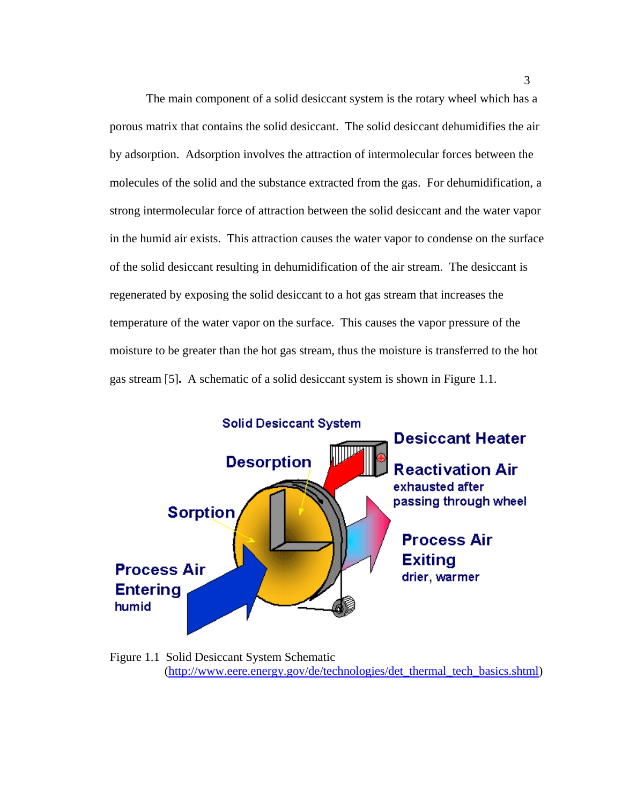The main component of a solid desiccant system is the rotary wheel which has a porous matrix that contains the solid desiccant. The solid desiccant dehumidifies the air by adsorption. Adsorption involves the attraction of intermolecular forces between the molecules of the solid and the substance extracted from the gas. For dehumidification, a strong intermolecular force of attraction between the solid desiccant and the water vapor in the humid air exists. This attraction causes the water vapor to condense on the surface of the solid desiccant resulting in dehumidification of the air stream. The desiccant is regenerated by exposing the solid desiccant to a hot gas stream that increases the temperature of the water vapor on the surface. This causes the vapor pressure of the moisture to be greater than the hot gas stream, thus the moisture is transferred to the hot gas stream [5]**.** A schematic of a solid desiccant system is shown in Figure 1.1.



Figure 1.1 Solid Desiccant System Schematic ([http://www.eere.energy.gov/de/technologies/det\\_thermal\\_tech\\_basics.shtml\)](http://www.eere.energy.gov/de/technologies/det_thermal_tech_basics.shtml)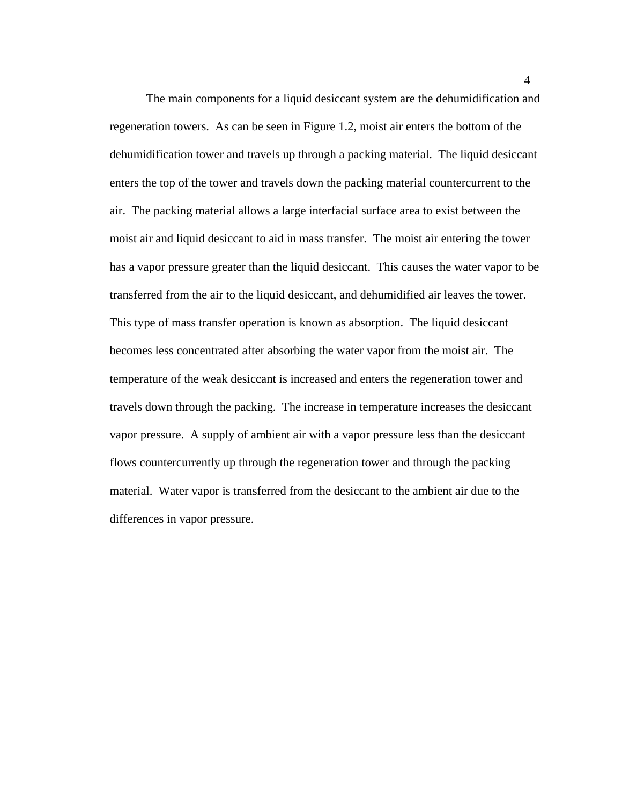The main components for a liquid desiccant system are the dehumidification and regeneration towers. As can be seen in Figure 1.2, moist air enters the bottom of the dehumidification tower and travels up through a packing material. The liquid desiccant enters the top of the tower and travels down the packing material countercurrent to the air. The packing material allows a large interfacial surface area to exist between the moist air and liquid desiccant to aid in mass transfer. The moist air entering the tower has a vapor pressure greater than the liquid desiccant. This causes the water vapor to be transferred from the air to the liquid desiccant, and dehumidified air leaves the tower. This type of mass transfer operation is known as absorption. The liquid desiccant becomes less concentrated after absorbing the water vapor from the moist air. The temperature of the weak desiccant is increased and enters the regeneration tower and travels down through the packing. The increase in temperature increases the desiccant vapor pressure. A supply of ambient air with a vapor pressure less than the desiccant flows countercurrently up through the regeneration tower and through the packing material. Water vapor is transferred from the desiccant to the ambient air due to the differences in vapor pressure.

4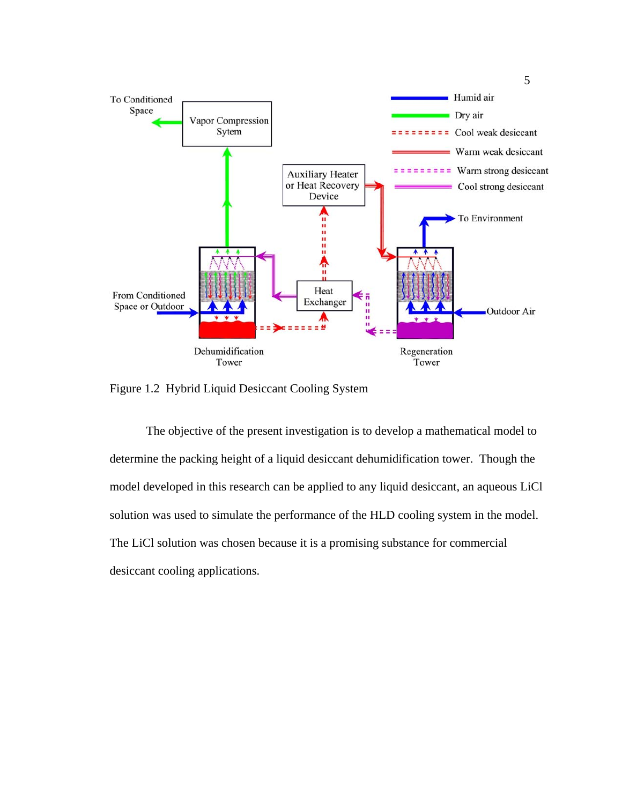

Figure 1.2 Hybrid Liquid Desiccant Cooling System

The objective of the present investigation is to develop a mathematical model to determine the packing height of a liquid desiccant dehumidification tower. Though the model developed in this research can be applied to any liquid desiccant, an aqueous LiCl solution was used to simulate the performance of the HLD cooling system in the model. The LiCl solution was chosen because it is a promising substance for commercial desiccant cooling applications.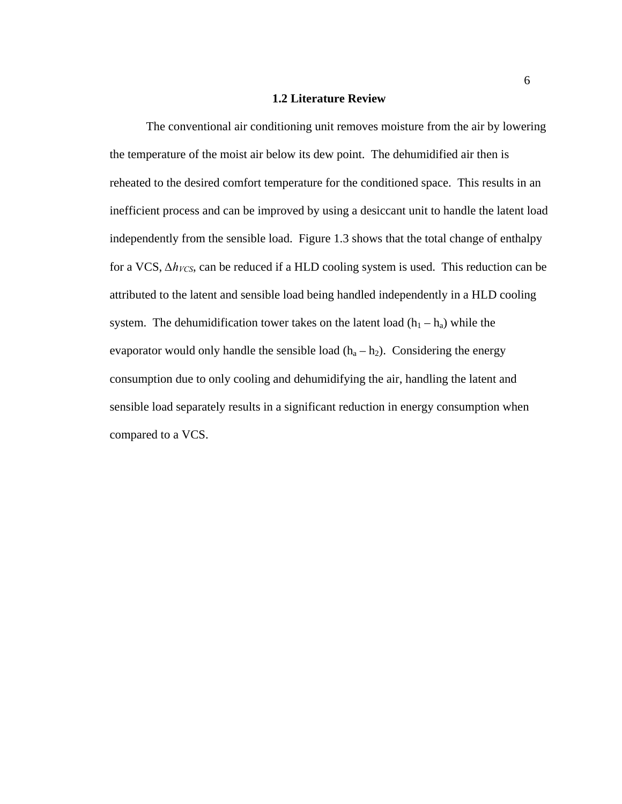#### **1.2 Literature Review**

The conventional air conditioning unit removes moisture from the air by lowering the temperature of the moist air below its dew point. The dehumidified air then is reheated to the desired comfort temperature for the conditioned space. This results in an inefficient process and can be improved by using a desiccant unit to handle the latent load independently from the sensible load. Figure 1.3 shows that the total change of enthalpy for a VCS,  $Δh<sub>VCS</sub>$ , can be reduced if a HLD cooling system is used. This reduction can be attributed to the latent and sensible load being handled independently in a HLD cooling system. The dehumidification tower takes on the latent load  $(h_1 - h_a)$  while the evaporator would only handle the sensible load  $(h_a - h_2)$ . Considering the energy consumption due to only cooling and dehumidifying the air, handling the latent and sensible load separately results in a significant reduction in energy consumption when compared to a VCS.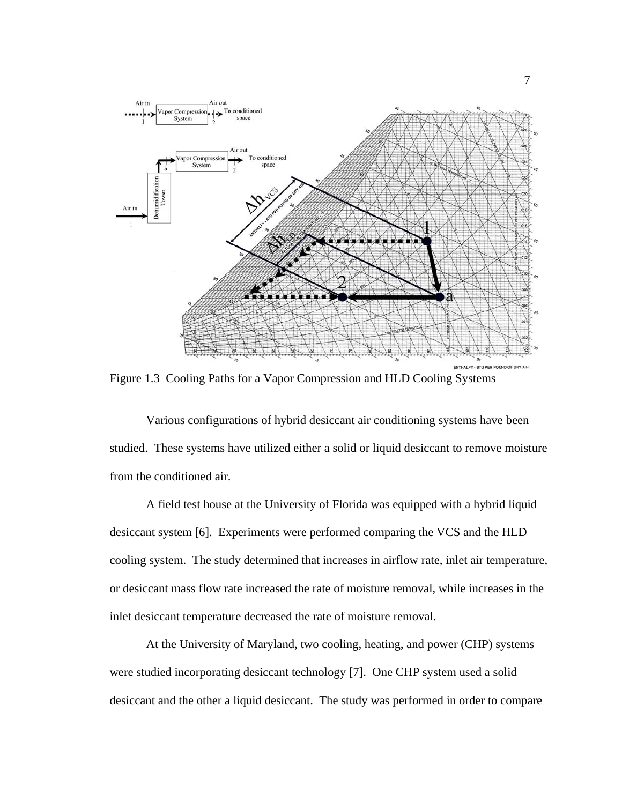

Figure 1.3 Cooling Paths for a Vapor Compression and HLD Cooling Systems

Various configurations of hybrid desiccant air conditioning systems have been studied. These systems have utilized either a solid or liquid desiccant to remove moisture from the conditioned air.

A field test house at the University of Florida was equipped with a hybrid liquid desiccant system [6]. Experiments were performed comparing the VCS and the HLD cooling system. The study determined that increases in airflow rate, inlet air temperature, or desiccant mass flow rate increased the rate of moisture removal, while increases in the inlet desiccant temperature decreased the rate of moisture removal.

At the University of Maryland, two cooling, heating, and power (CHP) systems were studied incorporating desiccant technology [7]. One CHP system used a solid desiccant and the other a liquid desiccant. The study was performed in order to compare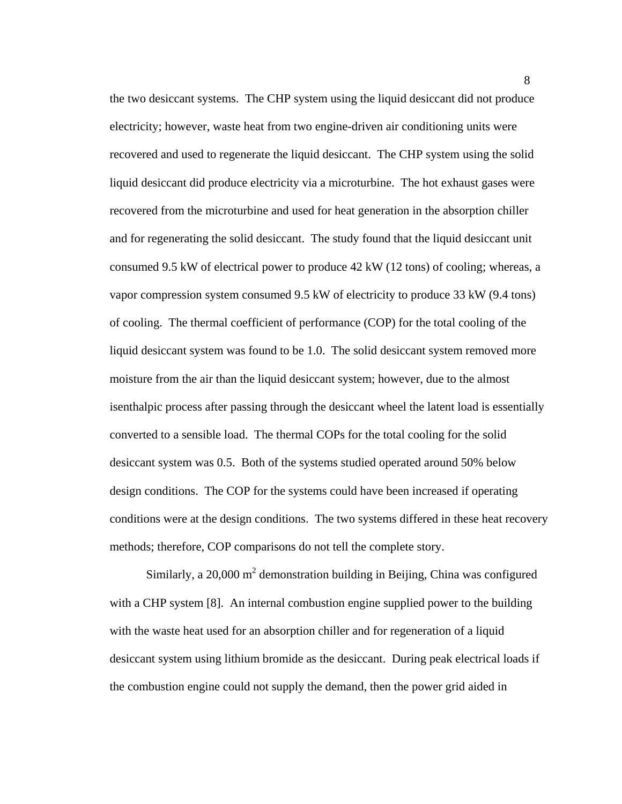the two desiccant systems. The CHP system using the liquid desiccant did not produce electricity; however, waste heat from two engine-driven air conditioning units were recovered and used to regenerate the liquid desiccant. The CHP system using the solid liquid desiccant did produce electricity via a microturbine. The hot exhaust gases were recovered from the microturbine and used for heat generation in the absorption chiller and for regenerating the solid desiccant. The study found that the liquid desiccant unit consumed 9.5 kW of electrical power to produce 42 kW (12 tons) of cooling; whereas, a vapor compression system consumed 9.5 kW of electricity to produce 33 kW (9.4 tons) of cooling. The thermal coefficient of performance (COP) for the total cooling of the liquid desiccant system was found to be 1.0. The solid desiccant system removed more moisture from the air than the liquid desiccant system; however, due to the almost isenthalpic process after passing through the desiccant wheel the latent load is essentially converted to a sensible load. The thermal COPs for the total cooling for the solid desiccant system was 0.5. Both of the systems studied operated around 50% below design conditions. The COP for the systems could have been increased if operating conditions were at the design conditions. The two systems differed in these heat recovery methods; therefore, COP comparisons do not tell the complete story.

Similarly, a  $20,000$  m<sup>2</sup> demonstration building in Beijing, China was configured with a CHP system [8]. An internal combustion engine supplied power to the building with the waste heat used for an absorption chiller and for regeneration of a liquid desiccant system using lithium bromide as the desiccant. During peak electrical loads if the combustion engine could not supply the demand, then the power grid aided in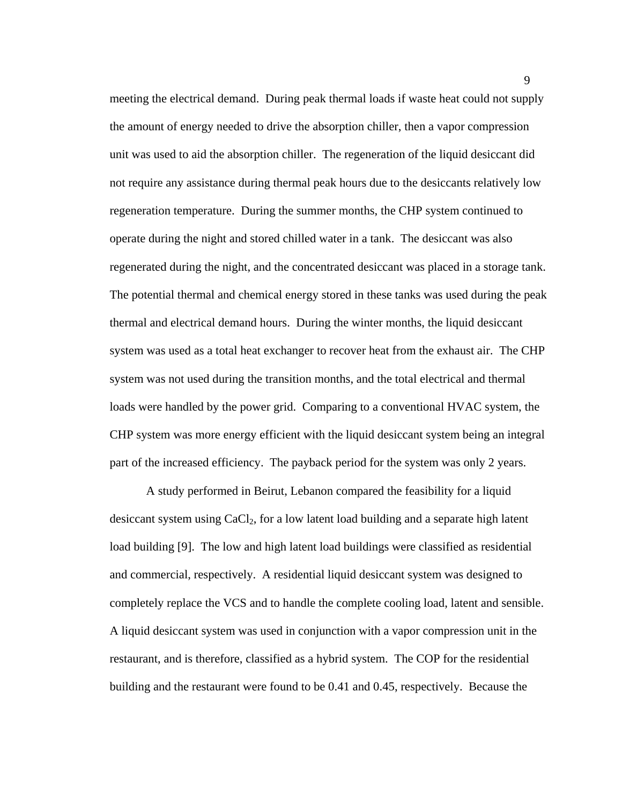meeting the electrical demand. During peak thermal loads if waste heat could not supply the amount of energy needed to drive the absorption chiller, then a vapor compression unit was used to aid the absorption chiller. The regeneration of the liquid desiccant did not require any assistance during thermal peak hours due to the desiccants relatively low regeneration temperature. During the summer months, the CHP system continued to operate during the night and stored chilled water in a tank. The desiccant was also regenerated during the night, and the concentrated desiccant was placed in a storage tank. The potential thermal and chemical energy stored in these tanks was used during the peak thermal and electrical demand hours. During the winter months, the liquid desiccant system was used as a total heat exchanger to recover heat from the exhaust air. The CHP system was not used during the transition months, and the total electrical and thermal loads were handled by the power grid. Comparing to a conventional HVAC system, the CHP system was more energy efficient with the liquid desiccant system being an integral part of the increased efficiency. The payback period for the system was only 2 years.

A study performed in Beirut, Lebanon compared the feasibility for a liquid desiccant system using  $CaCl<sub>2</sub>$ , for a low latent load building and a separate high latent load building [9]. The low and high latent load buildings were classified as residential and commercial, respectively. A residential liquid desiccant system was designed to completely replace the VCS and to handle the complete cooling load, latent and sensible. A liquid desiccant system was used in conjunction with a vapor compression unit in the restaurant, and is therefore, classified as a hybrid system. The COP for the residential building and the restaurant were found to be 0.41 and 0.45, respectively. Because the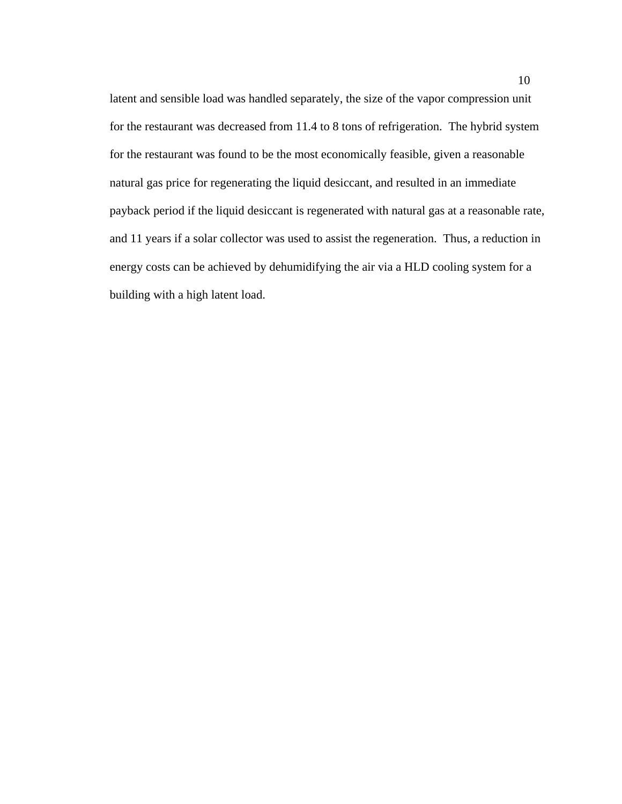latent and sensible load was handled separately, the size of the vapor compression unit for the restaurant was decreased from 11.4 to 8 tons of refrigeration. The hybrid system for the restaurant was found to be the most economically feasible, given a reasonable natural gas price for regenerating the liquid desiccant, and resulted in an immediate payback period if the liquid desiccant is regenerated with natural gas at a reasonable rate, and 11 years if a solar collector was used to assist the regeneration. Thus, a reduction in energy costs can be achieved by dehumidifying the air via a HLD cooling system for a building with a high latent load.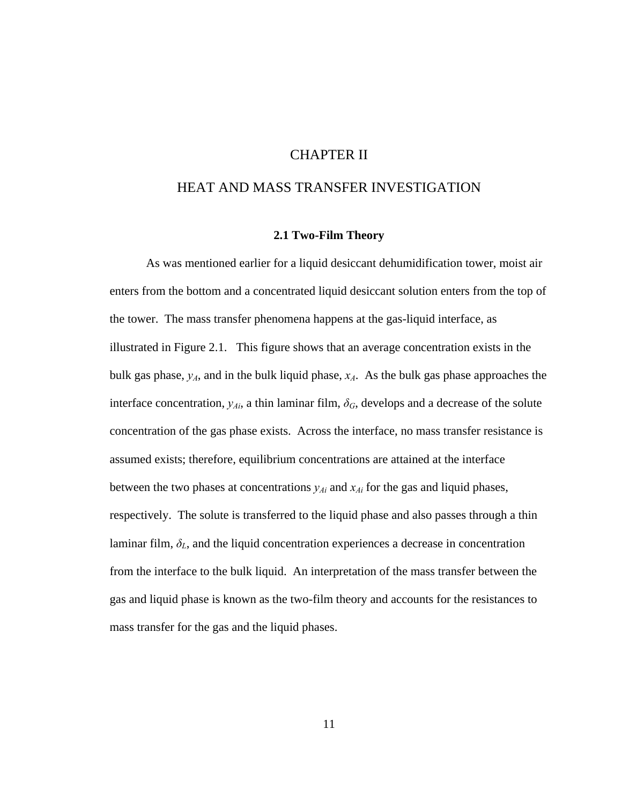## CHAPTER II

#### HEAT AND MASS TRANSFER INVESTIGATION

#### **2.1 Two-Film Theory**

As was mentioned earlier for a liquid desiccant dehumidification tower, moist air enters from the bottom and a concentrated liquid desiccant solution enters from the top of the tower. The mass transfer phenomena happens at the gas-liquid interface, as illustrated in Figure 2.1. This figure shows that an average concentration exists in the bulk gas phase, *yA*, and in the bulk liquid phase, *xA*. As the bulk gas phase approaches the interface concentration,  $y_{Ai}$ , a thin laminar film,  $\delta_G$ , develops and a decrease of the solute concentration of the gas phase exists. Across the interface, no mass transfer resistance is assumed exists; therefore, equilibrium concentrations are attained at the interface between the two phases at concentrations  $y_{Ai}$  and  $x_{Ai}$  for the gas and liquid phases, respectively. The solute is transferred to the liquid phase and also passes through a thin laminar film,  $\delta_L$ , and the liquid concentration experiences a decrease in concentration from the interface to the bulk liquid. An interpretation of the mass transfer between the gas and liquid phase is known as the two-film theory and accounts for the resistances to mass transfer for the gas and the liquid phases.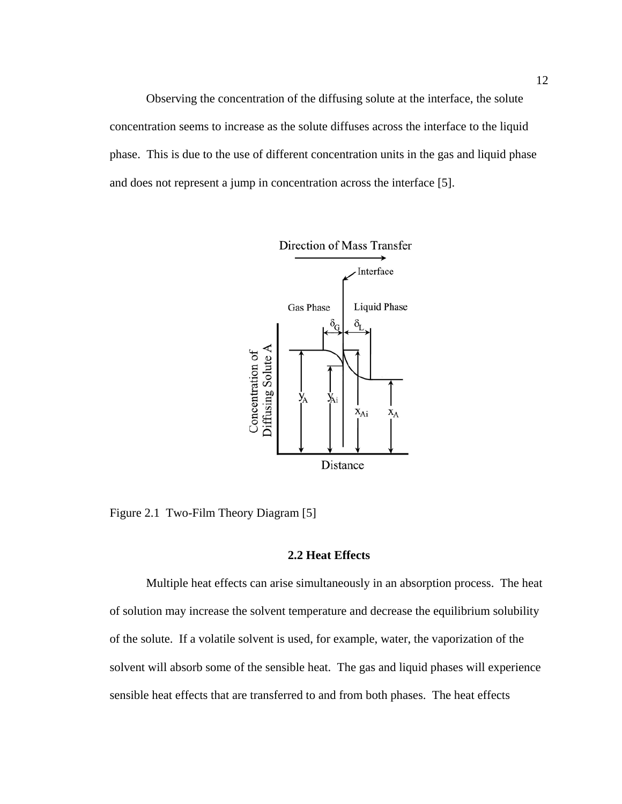Observing the concentration of the diffusing solute at the interface, the solute concentration seems to increase as the solute diffuses across the interface to the liquid phase. This is due to the use of different concentration units in the gas and liquid phase and does not represent a jump in concentration across the interface [5].



Figure 2.1 Two-Film Theory Diagram [5]

#### **2.2 Heat Effects**

Multiple heat effects can arise simultaneously in an absorption process. The heat of solution may increase the solvent temperature and decrease the equilibrium solubility of the solute. If a volatile solvent is used, for example, water, the vaporization of the solvent will absorb some of the sensible heat. The gas and liquid phases will experience sensible heat effects that are transferred to and from both phases. The heat effects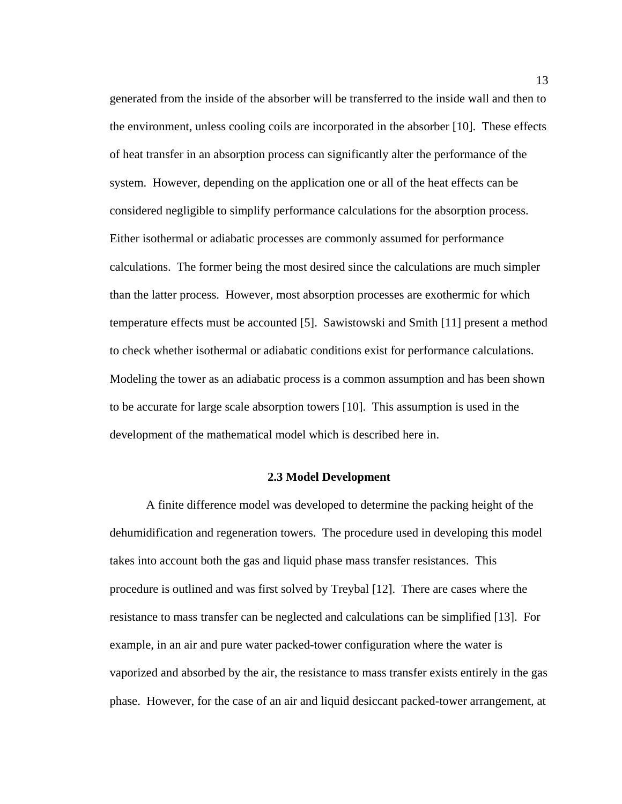generated from the inside of the absorber will be transferred to the inside wall and then to the environment, unless cooling coils are incorporated in the absorber [10]. These effects of heat transfer in an absorption process can significantly alter the performance of the system. However, depending on the application one or all of the heat effects can be considered negligible to simplify performance calculations for the absorption process. Either isothermal or adiabatic processes are commonly assumed for performance calculations. The former being the most desired since the calculations are much simpler than the latter process. However, most absorption processes are exothermic for which temperature effects must be accounted [5]. Sawistowski and Smith [11] present a method to check whether isothermal or adiabatic conditions exist for performance calculations. Modeling the tower as an adiabatic process is a common assumption and has been shown to be accurate for large scale absorption towers [10]. This assumption is used in the development of the mathematical model which is described here in.

#### **2.3 Model Development**

A finite difference model was developed to determine the packing height of the dehumidification and regeneration towers. The procedure used in developing this model takes into account both the gas and liquid phase mass transfer resistances. This procedure is outlined and was first solved by Treybal [12]. There are cases where the resistance to mass transfer can be neglected and calculations can be simplified [13]. For example, in an air and pure water packed-tower configuration where the water is vaporized and absorbed by the air, the resistance to mass transfer exists entirely in the gas phase. However, for the case of an air and liquid desiccant packed-tower arrangement, at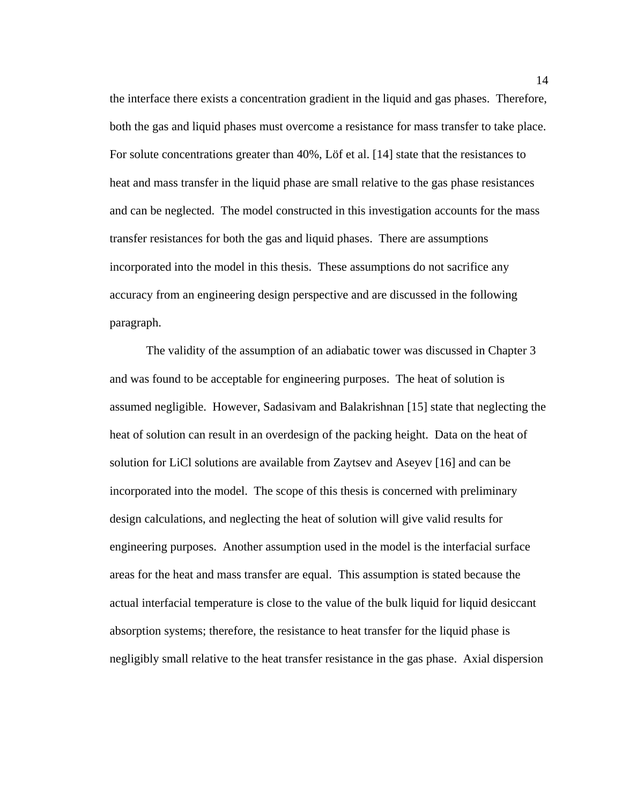the interface there exists a concentration gradient in the liquid and gas phases. Therefore, both the gas and liquid phases must overcome a resistance for mass transfer to take place. For solute concentrations greater than 40%, Löf et al. [14] state that the resistances to heat and mass transfer in the liquid phase are small relative to the gas phase resistances and can be neglected. The model constructed in this investigation accounts for the mass transfer resistances for both the gas and liquid phases. There are assumptions incorporated into the model in this thesis. These assumptions do not sacrifice any accuracy from an engineering design perspective and are discussed in the following paragraph.

The validity of the assumption of an adiabatic tower was discussed in Chapter 3 and was found to be acceptable for engineering purposes. The heat of solution is assumed negligible. However, Sadasivam and Balakrishnan [15] state that neglecting the heat of solution can result in an overdesign of the packing height. Data on the heat of solution for LiCl solutions are available from Zaytsev and Aseyev [16] and can be incorporated into the model. The scope of this thesis is concerned with preliminary design calculations, and neglecting the heat of solution will give valid results for engineering purposes. Another assumption used in the model is the interfacial surface areas for the heat and mass transfer are equal. This assumption is stated because the actual interfacial temperature is close to the value of the bulk liquid for liquid desiccant absorption systems; therefore, the resistance to heat transfer for the liquid phase is negligibly small relative to the heat transfer resistance in the gas phase. Axial dispersion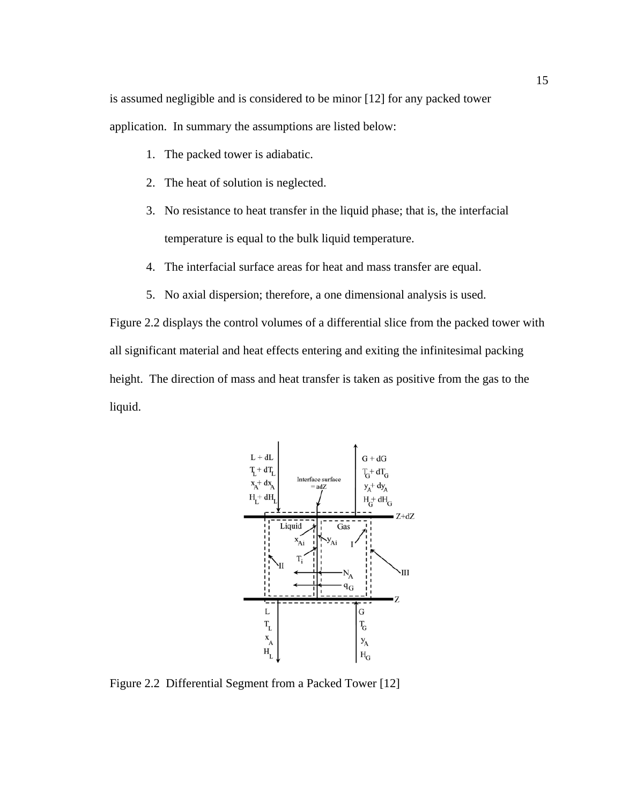is assumed negligible and is considered to be minor [12] for any packed tower application. In summary the assumptions are listed below:

- 1. The packed tower is adiabatic.
- 2. The heat of solution is neglected.
- 3. No resistance to heat transfer in the liquid phase; that is, the interfacial temperature is equal to the bulk liquid temperature.
- 4. The interfacial surface areas for heat and mass transfer are equal.
- 5. No axial dispersion; therefore, a one dimensional analysis is used.

Figure 2.2 displays the control volumes of a differential slice from the packed tower with all significant material and heat effects entering and exiting the infinitesimal packing height. The direction of mass and heat transfer is taken as positive from the gas to the liquid.



Figure 2.2 Differential Segment from a Packed Tower [12]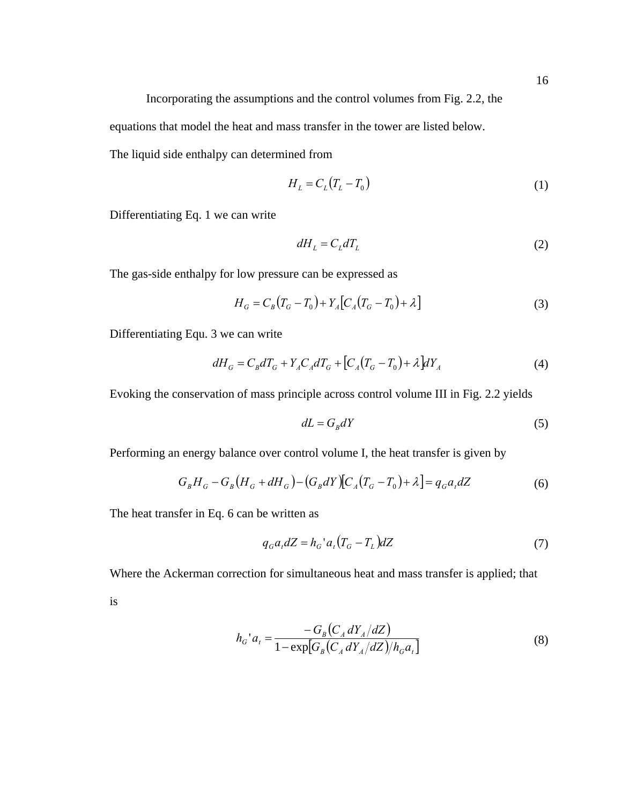Incorporating the assumptions and the control volumes from Fig. 2.2, the

equations that model the heat and mass transfer in the tower are listed below.

The liquid side enthalpy can determined from

$$
H_L = C_L (T_L - T_0) \tag{1}
$$

Differentiating Eq. 1 we can write

$$
dH_L = C_L dT_L \tag{2}
$$

The gas-side enthalpy for low pressure can be expressed as

$$
H_G = C_B (T_G - T_0) + Y_A [C_A (T_G - T_0) + \lambda]
$$
\n(3)

Differentiating Equ. 3 we can write

$$
dH_G = C_B dT_G + Y_A C_A dT_G + [C_A (T_G - T_0) + \lambda] dY_A
$$
\n
$$
\tag{4}
$$

Evoking the conservation of mass principle across control volume III in Fig. 2.2 yields

$$
dL = G_B dY \tag{5}
$$

Performing an energy balance over control volume I, the heat transfer is given by

$$
G_B H_G - G_B (H_G + dH_G) - (G_B dY) [C_A (T_G - T_0) + \lambda] = q_G a_t dZ
$$
\n(6)

The heat transfer in Eq. 6 can be written as

$$
q_G a_t dZ = h_G' a_t (T_G - T_L) dZ \tag{7}
$$

Where the Ackerman correction for simultaneous heat and mass transfer is applied; that

is

$$
h_G^{\dagger} a_t = \frac{-G_B (C_A dY_A / dZ)}{1 - \exp[G_B (C_A dY_A / dZ) / h_G a_t]}
$$
(8)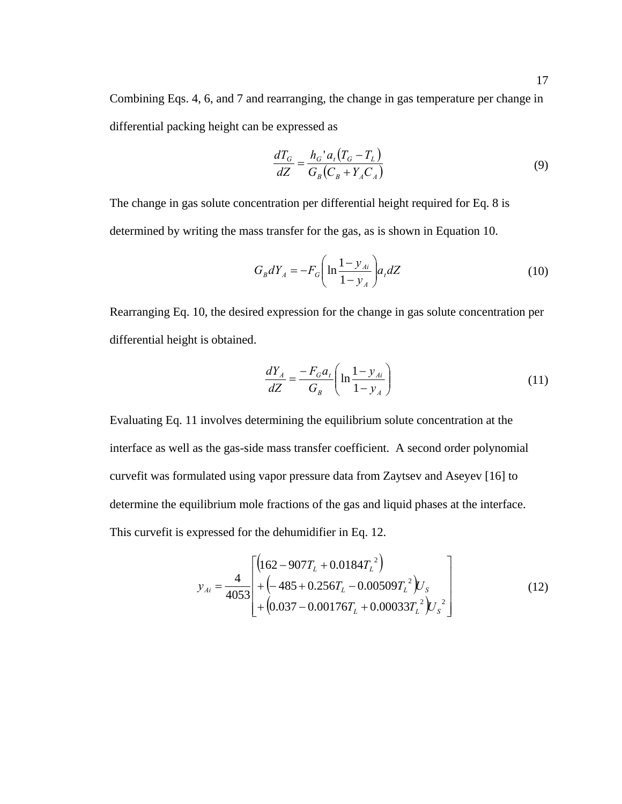Combining Eqs. 4, 6, and 7 and rearranging, the change in gas temperature per change in differential packing height can be expressed as

$$
\frac{dT_G}{dZ} = \frac{h_G' a_t (T_G - T_L)}{G_B (C_B + Y_A C_A)}\tag{9}
$$

The change in gas solute concentration per differential height required for Eq. 8 is determined by writing the mass transfer for the gas, as is shown in Equation 10.

$$
G_B dY_A = -F_G \left( \ln \frac{1 - y_{Ai}}{1 - y_A} \right) a_t dZ \tag{10}
$$

Rearranging Eq. 10, the desired expression for the change in gas solute concentration per differential height is obtained.

$$
\frac{dY_A}{dZ} = \frac{-F_G a_t}{G_B} \left( \ln \frac{1 - y_{Ai}}{1 - y_A} \right) \tag{11}
$$

Evaluating Eq. 11 involves determining the equilibrium solute concentration at the interface as well as the gas-side mass transfer coefficient. A second order polynomial curvefit was formulated using vapor pressure data from Zaytsev and Aseyev [16] to determine the equilibrium mole fractions of the gas and liquid phases at the interface. This curvefit is expressed for the dehumidifier in Eq. 12.

$$
y_{Ai} = \frac{4}{4053} \begin{bmatrix} \left(162 - 907T_L + 0.0184T_L^2\right) \\ + \left(-485 + 0.256T_L - 0.00509T_L^2\right) U_s \\ + \left(0.037 - 0.00176T_L + 0.00033T_L^2\right) U_s^2 \end{bmatrix}
$$
(12)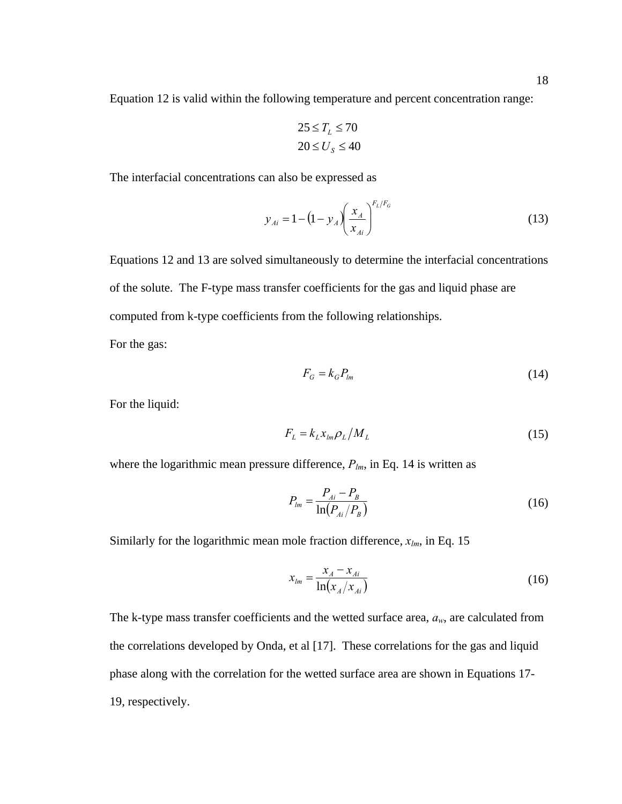Equation 12 is valid within the following temperature and percent concentration range:

$$
25 \le T_L \le 70
$$
  

$$
20 \le U_s \le 40
$$

The interfacial concentrations can also be expressed as

$$
y_{Ai} = 1 - \left(1 - y_A\right) \left(\frac{x_A}{x_{Ai}}\right)^{F_L/F_G}
$$
\n(13)

Equations 12 and 13 are solved simultaneously to determine the interfacial concentrations of the solute. The F-type mass transfer coefficients for the gas and liquid phase are computed from k-type coefficients from the following relationships.

For the gas:

$$
F_G = k_G P_{lm} \tag{14}
$$

For the liquid:

$$
F_L = k_L x_{lm} \rho_L / M_L \tag{15}
$$

where the logarithmic mean pressure difference,  $P_{lm}$ , in Eq. 14 is written as

$$
P_{lm} = \frac{P_{Ai} - P_B}{\ln(P_{Ai}/P_B)}
$$
(16)

Similarly for the logarithmic mean mole fraction difference, *xlm*, in Eq. 15

$$
x_{lm} = \frac{x_A - x_{Ai}}{\ln(x_A/x_{Ai})}
$$
 (16)

The k-type mass transfer coefficients and the wetted surface area, *aw*, are calculated from the correlations developed by Onda, et al [17]. These correlations for the gas and liquid phase along with the correlation for the wetted surface area are shown in Equations 17- 19, respectively.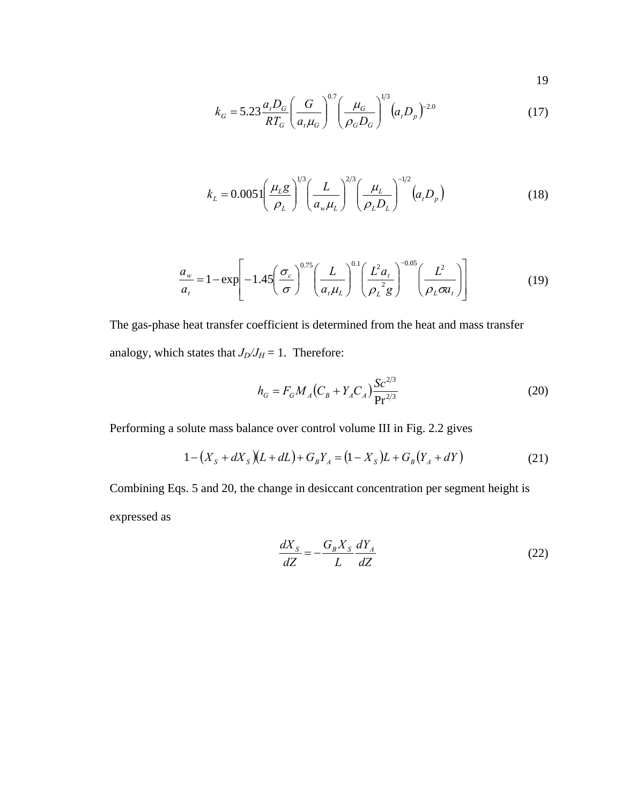19

$$
k_G = 5.23 \frac{a_t D_G}{RT_G} \left(\frac{G}{a_t \mu_G}\right)^{0.7} \left(\frac{\mu_G}{\rho_G D_G}\right)^{1/3} \left(a_t D_p\right)^{-2.0} \tag{17}
$$

$$
k_L = 0.0051 \left(\frac{\mu_L g}{\rho_L}\right)^{1/3} \left(\frac{L}{a_w \mu_L}\right)^{2/3} \left(\frac{\mu_L}{\rho_L D_L}\right)^{-1/2} \left(a_t D_p\right) \tag{18}
$$

$$
\frac{a_w}{a_t} = 1 - \exp\left[-1.45\left(\frac{\sigma_c}{\sigma}\right)^{0.75}\left(\frac{L}{a_t\mu_L}\right)^{0.1}\left(\frac{L^2a_t}{\rho_L^2g}\right)^{-0.05}\left(\frac{L^2}{\rho_L\sigma a_t}\right)\right]
$$
(19)

The gas-phase heat transfer coefficient is determined from the heat and mass transfer analogy, which states that  $J_D/J_H = 1$ . Therefore:

$$
h_G = F_G M_A (C_B + Y_A C_A) \frac{Sc^{2/3}}{\Pr^{2/3}}
$$
 (20)

Performing a solute mass balance over control volume III in Fig. 2.2 gives

$$
1 - (X_{S} + dX_{S})(L + dL) + G_{B}Y_{A} = (1 - X_{S})L + G_{B}(Y_{A} + dY)
$$
\n(21)

Combining Eqs. 5 and 20, the change in desiccant concentration per segment height is expressed as

$$
\frac{dX_s}{dZ} = -\frac{G_B X_s}{L} \frac{dY_A}{dZ} \tag{22}
$$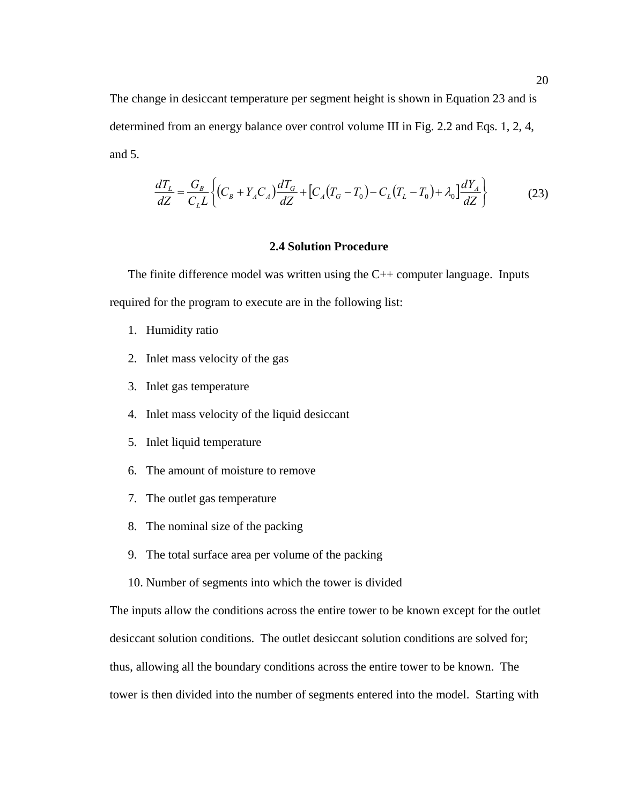The change in desiccant temperature per segment height is shown in Equation 23 and is determined from an energy balance over control volume III in Fig. 2.2 and Eqs. 1, 2, 4, and 5.

$$
\frac{dT_L}{dZ} = \frac{G_B}{C_L L} \left\{ (C_B + Y_A C_A) \frac{dT_G}{dZ} + [C_A (T_G - T_0) - C_L (T_L - T_0) + \lambda_0] \frac{dY_A}{dZ} \right\}
$$
(23)

#### **2.4 Solution Procedure**

The finite difference model was written using the  $C++$  computer language. Inputs required for the program to execute are in the following list:

- 1. Humidity ratio
- 2. Inlet mass velocity of the gas
- 3. Inlet gas temperature
- 4. Inlet mass velocity of the liquid desiccant
- 5. Inlet liquid temperature
- 6. The amount of moisture to remove
- 7. The outlet gas temperature
- 8. The nominal size of the packing
- 9. The total surface area per volume of the packing
- 10. Number of segments into which the tower is divided

The inputs allow the conditions across the entire tower to be known except for the outlet desiccant solution conditions. The outlet desiccant solution conditions are solved for; thus, allowing all the boundary conditions across the entire tower to be known. The tower is then divided into the number of segments entered into the model. Starting with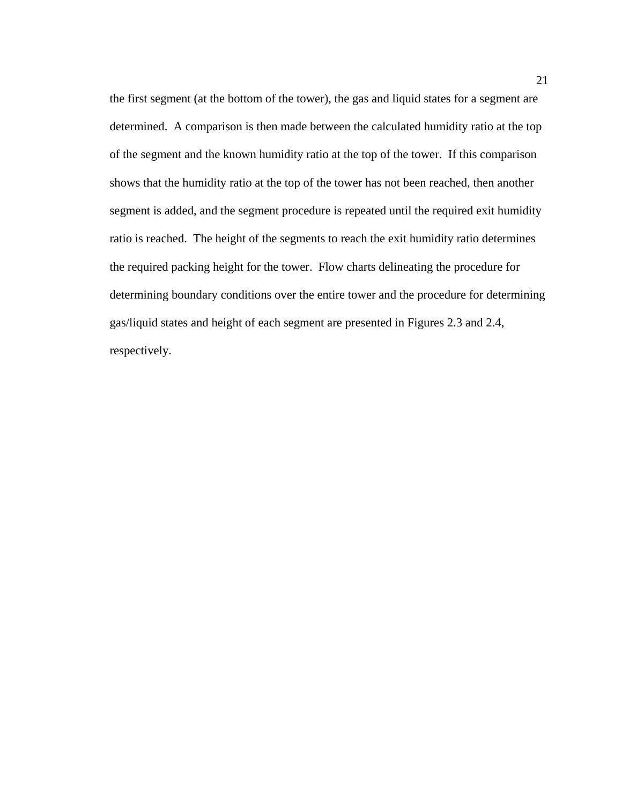the first segment (at the bottom of the tower), the gas and liquid states for a segment are determined. A comparison is then made between the calculated humidity ratio at the top of the segment and the known humidity ratio at the top of the tower. If this comparison shows that the humidity ratio at the top of the tower has not been reached, then another segment is added, and the segment procedure is repeated until the required exit humidity ratio is reached. The height of the segments to reach the exit humidity ratio determines the required packing height for the tower. Flow charts delineating the procedure for determining boundary conditions over the entire tower and the procedure for determining gas/liquid states and height of each segment are presented in Figures 2.3 and 2.4, respectively.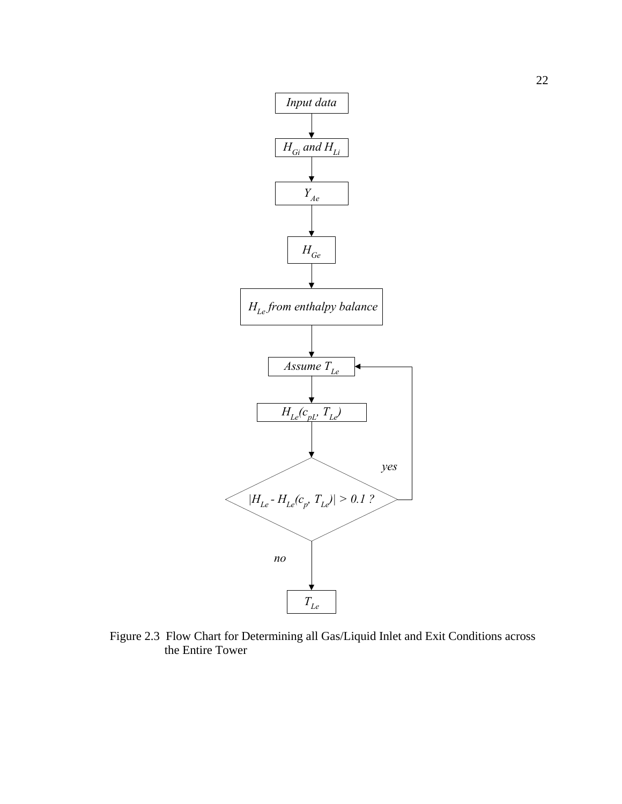

Figure 2.3 Flow Chart for Determining all Gas/Liquid Inlet and Exit Conditions across the Entire Tower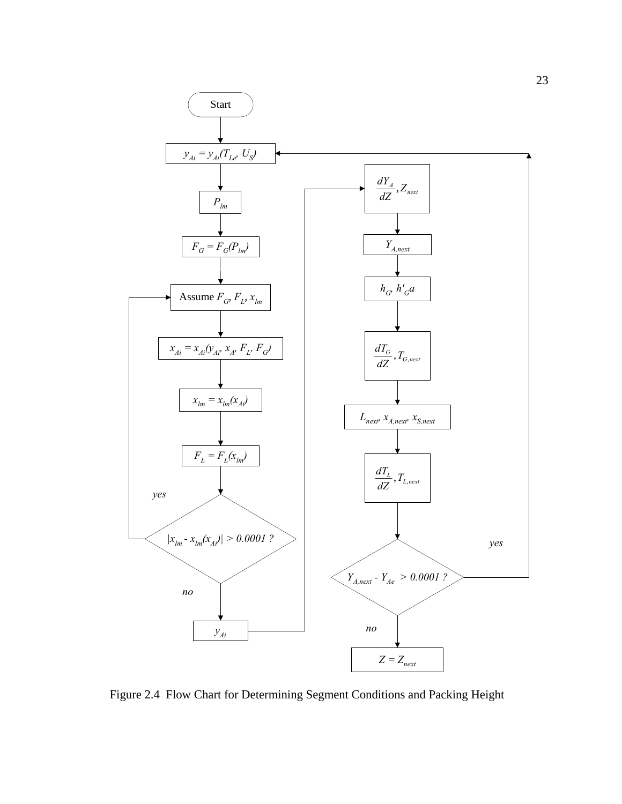

Figure 2.4 Flow Chart for Determining Segment Conditions and Packing Height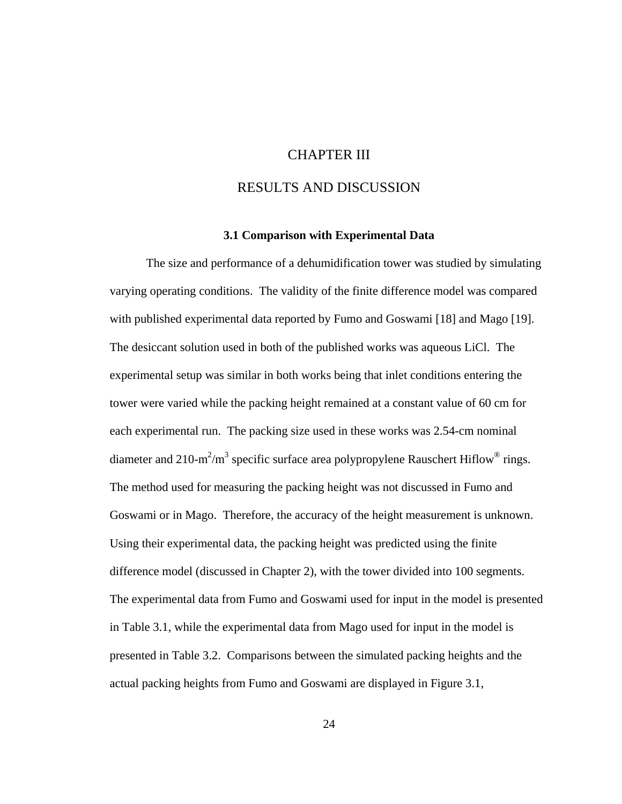## CHAPTER III

#### RESULTS AND DISCUSSION

#### **3.1 Comparison with Experimental Data**

The size and performance of a dehumidification tower was studied by simulating varying operating conditions. The validity of the finite difference model was compared with published experimental data reported by Fumo and Goswami [18] and Mago [19]. The desiccant solution used in both of the published works was aqueous LiCl. The experimental setup was similar in both works being that inlet conditions entering the tower were varied while the packing height remained at a constant value of 60 cm for each experimental run. The packing size used in these works was 2.54-cm nominal diameter and 210-m<sup>2</sup>/m<sup>3</sup> specific surface area polypropylene Rauschert Hiflow<sup>®</sup> rings. The method used for measuring the packing height was not discussed in Fumo and Goswami or in Mago. Therefore, the accuracy of the height measurement is unknown. Using their experimental data, the packing height was predicted using the finite difference model (discussed in Chapter 2), with the tower divided into 100 segments. The experimental data from Fumo and Goswami used for input in the model is presented in Table 3.1, while the experimental data from Mago used for input in the model is presented in Table 3.2. Comparisons between the simulated packing heights and the actual packing heights from Fumo and Goswami are displayed in Figure 3.1,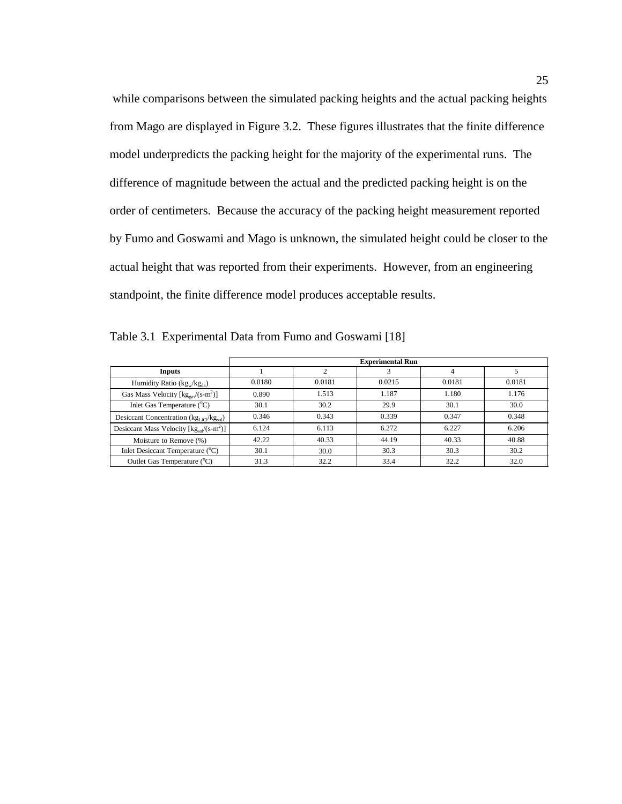while comparisons between the simulated packing heights and the actual packing heights from Mago are displayed in Figure 3.2. These figures illustrates that the finite difference model underpredicts the packing height for the majority of the experimental runs. The difference of magnitude between the actual and the predicted packing height is on the order of centimeters. Because the accuracy of the packing height measurement reported by Fumo and Goswami and Mago is unknown, the simulated height could be closer to the actual height that was reported from their experiments. However, from an engineering standpoint, the finite difference model produces acceptable results.

| <b>Experimental Run</b>                                                         |        |        |        |        |        |  |
|---------------------------------------------------------------------------------|--------|--------|--------|--------|--------|--|
| <b>Inputs</b>                                                                   |        |        |        | 4      |        |  |
| Humidity Ratio $(kg_w/kg_{da})$                                                 | 0.0180 | 0.0181 | 0.0215 | 0.0181 | 0.0181 |  |
| Gas Mass Velocity [ $kg_{gas}/(s-m^2)$ ]                                        | 0.890  | 1.513  | 1.187  | 1.180  | 1.176  |  |
| Inlet Gas Temperature $(^{\circ}C)$                                             | 30.1   | 30.2   | 29.9   | 30.1   | 30.0   |  |
| Desiccant Concentration ( $kgLiCl/kgsol$ )                                      | 0.346  | 0.343  | 0.339  | 0.347  | 0.348  |  |
| Desiccant Mass Velocity $\lceil \text{kg}_{\text{sol}} / (\text{s-m}^2) \rceil$ | 6.124  | 6.113  | 6.272  | 6.227  | 6.206  |  |
| Moisture to Remove (%)                                                          | 42.22  | 40.33  | 44.19  | 40.33  | 40.88  |  |
| Inlet Desiccant Temperature (°C)                                                | 30.1   | 30.0   | 30.3   | 30.3   | 30.2   |  |
| Outlet Gas Temperature (°C)                                                     | 31.3   | 32.2   | 33.4   | 32.2   | 32.0   |  |

Table 3.1 Experimental Data from Fumo and Goswami [18]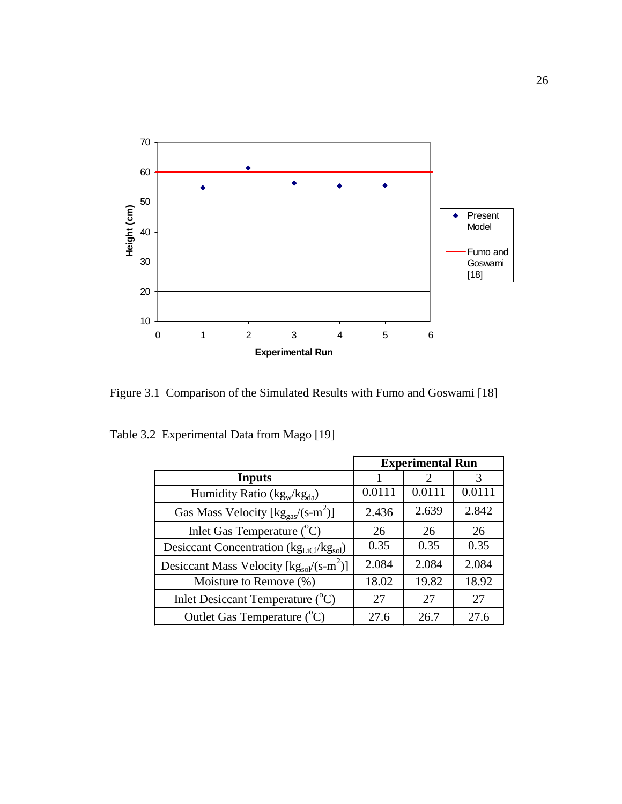

Figure 3.1 Comparison of the Simulated Results with Fumo and Goswami [18]

|                                                | <b>Experimental Run</b> |        |        |
|------------------------------------------------|-------------------------|--------|--------|
| <b>Inputs</b>                                  |                         |        | 3      |
| Humidity Ratio $(kg_w/kg_{da})$                | 0.0111                  | 0.0111 | 0.0111 |
| Gas Mass Velocity $[kg_{\text{gas}}/(s-m^2)]$  | 2.436                   | 2.639  | 2.842  |
| Inlet Gas Temperature $({}^{\circ}C)$          | 26                      | 26     | 26     |
| Desiccant Concentration $(kg_{LiCl}/kg_{sol})$ | 0.35                    | 0.35   | 0.35   |
| Desiceant Mass Velocity $[kg_{sol}/(s-m^2)]$   | 2.084                   | 2.084  | 2.084  |
| Moisture to Remove (%)                         | 18.02                   | 19.82  | 18.92  |
| Inlet Desiccant Temperature (°C)               | 27                      | 27     | 27     |
| Outlet Gas Temperature $({}^{\circ}C)$         | 27.6                    | 26.7   | 27.6   |

Table 3.2 Experimental Data from Mago [19]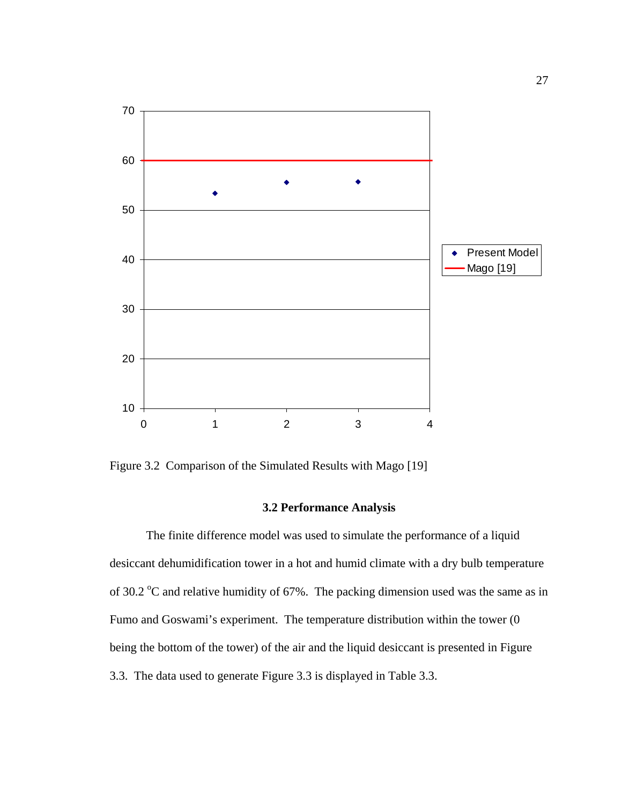

Figure 3.2 Comparison of the Simulated Results with Mago [19]

#### **3.2 Performance Analysis**

The finite difference model was used to simulate the performance of a liquid desiccant dehumidification tower in a hot and humid climate with a dry bulb temperature of 30.2  $\rm{^{\circ}C}$  and relative humidity of 67%. The packing dimension used was the same as in Fumo and Goswami's experiment. The temperature distribution within the tower (0 being the bottom of the tower) of the air and the liquid desiccant is presented in Figure 3.3. The data used to generate Figure 3.3 is displayed in Table 3.3.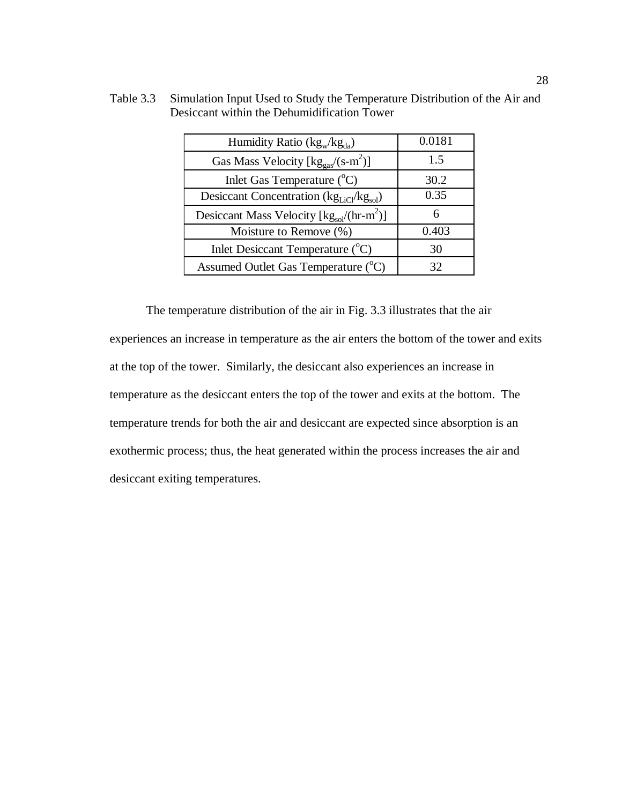| Humidity Ratio $(kg_w/kg_{da})$                             | 0.0181 |
|-------------------------------------------------------------|--------|
| Gas Mass Velocity $[\text{kg}_{\text{gas}}/(\text{s-m}^2)]$ | 1.5    |
| Inlet Gas Temperature $({}^{\circ}C)$                       | 30.2   |
| Desiccant Concentration $(kg_{LiCl}/kg_{sol})$              | 0.35   |
| Desiccant Mass Velocity $[kg_{sol}/(hr-m^2)]$               | 6      |
| Moisture to Remove (%)                                      | 0.403  |
| Inlet Desiccant Temperature $({}^{\circ}C)$                 | 30     |
| Assumed Outlet Gas Temperature (°C)                         | 32     |

Table 3.3 Simulation Input Used to Study the Temperature Distribution of the Air and Desiccant within the Dehumidification Tower

The temperature distribution of the air in Fig. 3.3 illustrates that the air experiences an increase in temperature as the air enters the bottom of the tower and exits at the top of the tower. Similarly, the desiccant also experiences an increase in temperature as the desiccant enters the top of the tower and exits at the bottom. The temperature trends for both the air and desiccant are expected since absorption is an exothermic process; thus, the heat generated within the process increases the air and desiccant exiting temperatures.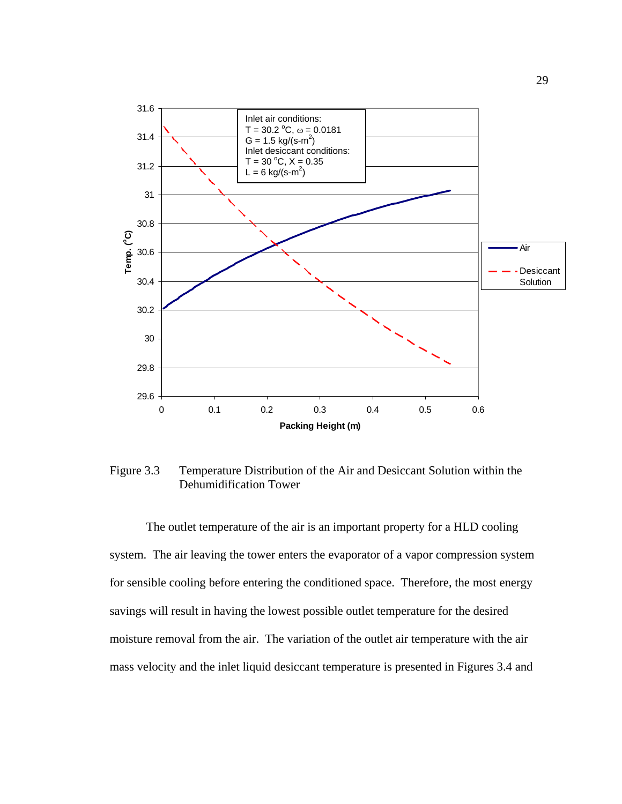

Figure 3.3 Temperature Distribution of the Air and Desiccant Solution within the Dehumidification Tower

The outlet temperature of the air is an important property for a HLD cooling system. The air leaving the tower enters the evaporator of a vapor compression system for sensible cooling before entering the conditioned space. Therefore, the most energy savings will result in having the lowest possible outlet temperature for the desired moisture removal from the air. The variation of the outlet air temperature with the air mass velocity and the inlet liquid desiccant temperature is presented in Figures 3.4 and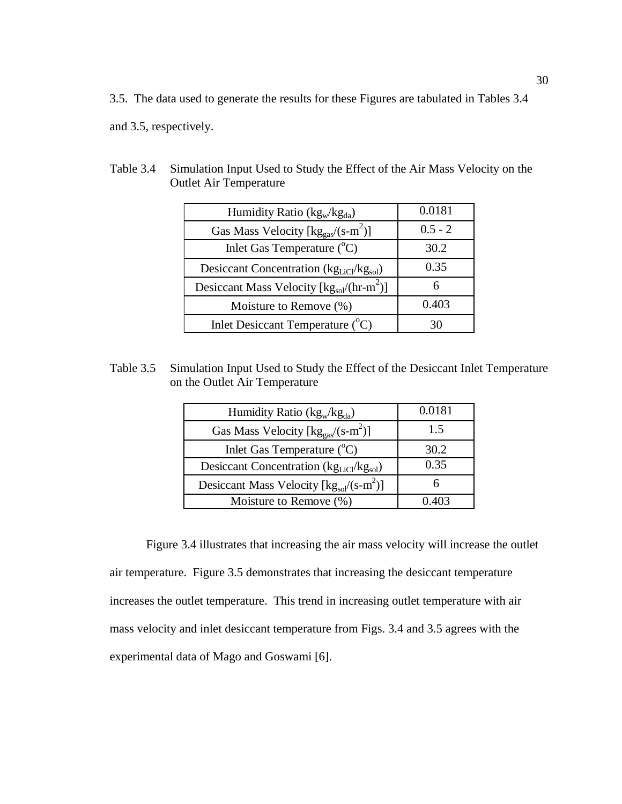3.5. The data used to generate the results for these Figures are tabulated in Tables 3.4

and 3.5, respectively.

| Humidity Ratio $(kg_w/kg_{da})$                             | 0.0181    |
|-------------------------------------------------------------|-----------|
| Gas Mass Velocity $[\text{kg}_{\text{gas}}/(\text{s-m}^2)]$ | $0.5 - 2$ |
| Inlet Gas Temperature $({}^{\circ}C)$                       | 30.2      |
| Desiccant Concentration $(kg_{LiCl}/kg_{sol})$              | 0.35      |
| Desiccant Mass Velocity $[kg_{sol}/(hr-m^2)]$               |           |
| Moisture to Remove (%)                                      | 0.403     |
| Inlet Desiccant Temperature $({}^{\circ}C)$                 |           |

Table 3.4 Simulation Input Used to Study the Effect of the Air Mass Velocity on the Outlet Air Temperature

Table 3.5 Simulation Input Used to Study the Effect of the Desiccant Inlet Temperature on the Outlet Air Temperature

| Humidity Ratio $(kg_w/kg_{da})$                             | 0.0181 |
|-------------------------------------------------------------|--------|
| Gas Mass Velocity $[\text{kg}_{\text{gas}}/(\text{s-m}^2)]$ | 1.5    |
| Inlet Gas Temperature $({}^{\circ}C)$                       | 30.2   |
| Desiccant Concentration ( $kgLiCl/kgsol$ )                  | 0.35   |
| Desiceant Mass Velocity $[kg_{sol}/(s-m^2)]$                |        |
| Moisture to Remove (%)                                      | 1.403  |

Figure 3.4 illustrates that increasing the air mass velocity will increase the outlet air temperature. Figure 3.5 demonstrates that increasing the desiccant temperature increases the outlet temperature. This trend in increasing outlet temperature with air mass velocity and inlet desiccant temperature from Figs. 3.4 and 3.5 agrees with the experimental data of Mago and Goswami [6].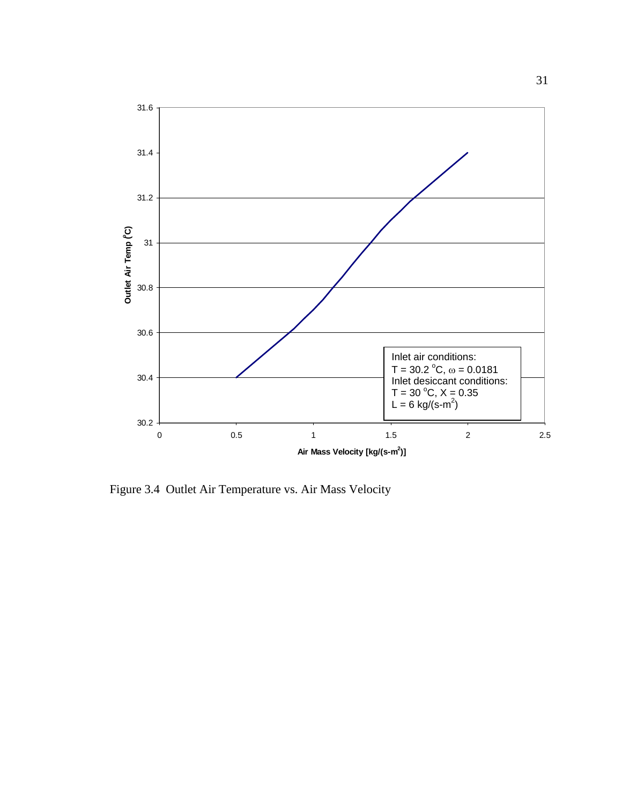

Figure 3.4 Outlet Air Temperature vs. Air Mass Velocity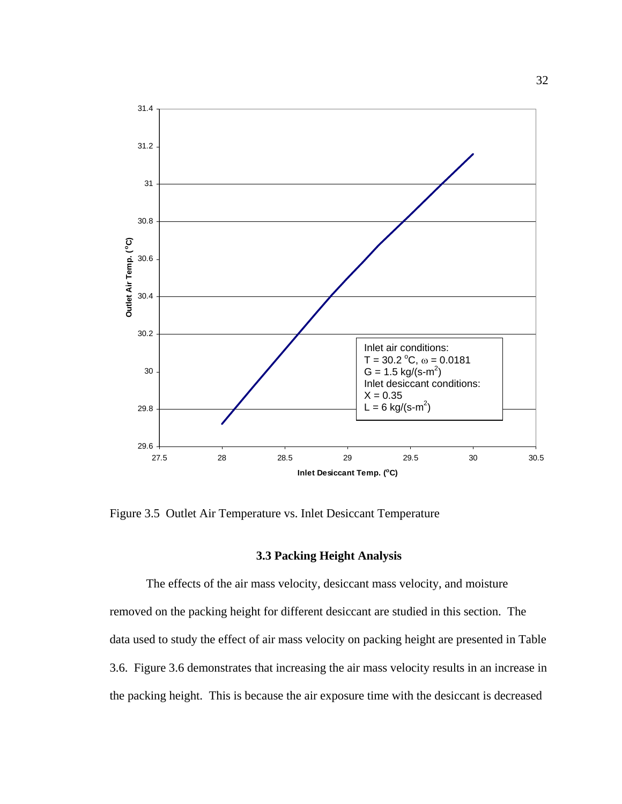

Figure 3.5 Outlet Air Temperature vs. Inlet Desiccant Temperature

#### **3.3 Packing Height Analysis**

The effects of the air mass velocity, desiccant mass velocity, and moisture removed on the packing height for different desiccant are studied in this section. The data used to study the effect of air mass velocity on packing height are presented in Table 3.6. Figure 3.6 demonstrates that increasing the air mass velocity results in an increase in the packing height. This is because the air exposure time with the desiccant is decreased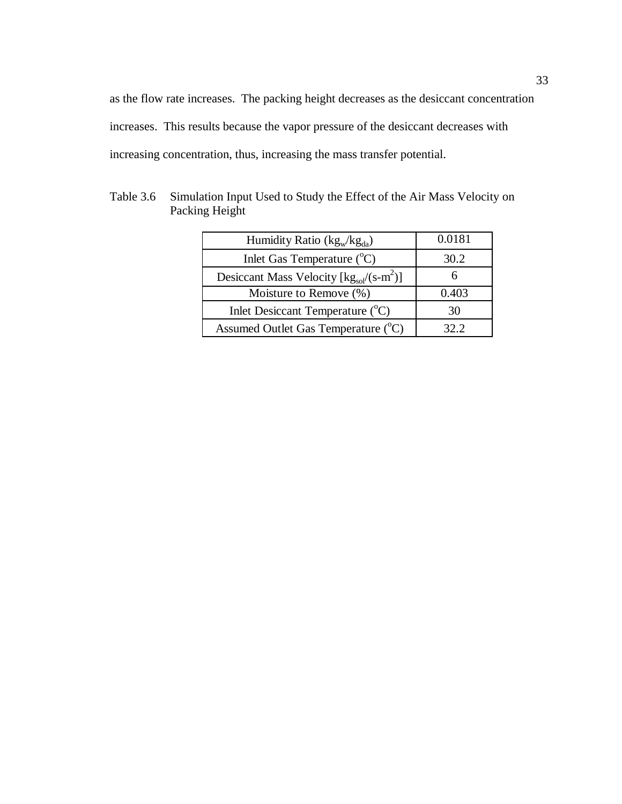as the flow rate increases. The packing height decreases as the desiccant concentration increases. This results because the vapor pressure of the desiccant decreases with increasing concentration, thus, increasing the mass transfer potential.

| Humidity Ratio $(kg_w/kg_{da})$               | 0.0181 |
|-----------------------------------------------|--------|
| Inlet Gas Temperature $({}^{\circ}C)$         | 30.2   |
| Desiccant Mass Velocity $[kg_{sol}/(s-m^2)]$  |        |
| Moisture to Remove (%)                        | 0.403  |
| Inlet Desiccant Temperature ( <sup>°</sup> C) | 30     |
| Assumed Outlet Gas Temperature (°C)           | १つ つ   |

Table 3.6 Simulation Input Used to Study the Effect of the Air Mass Velocity on Packing Height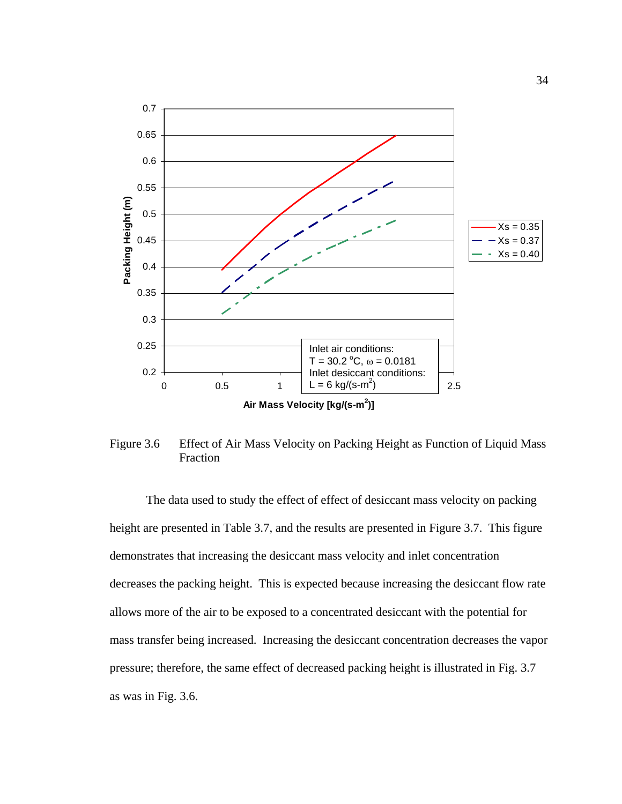

Figure 3.6 Effect of Air Mass Velocity on Packing Height as Function of Liquid Mass Fraction

The data used to study the effect of effect of desiccant mass velocity on packing height are presented in Table 3.7, and the results are presented in Figure 3.7. This figure demonstrates that increasing the desiccant mass velocity and inlet concentration decreases the packing height. This is expected because increasing the desiccant flow rate allows more of the air to be exposed to a concentrated desiccant with the potential for mass transfer being increased. Increasing the desiccant concentration decreases the vapor pressure; therefore, the same effect of decreased packing height is illustrated in Fig. 3.7 as was in Fig. 3.6.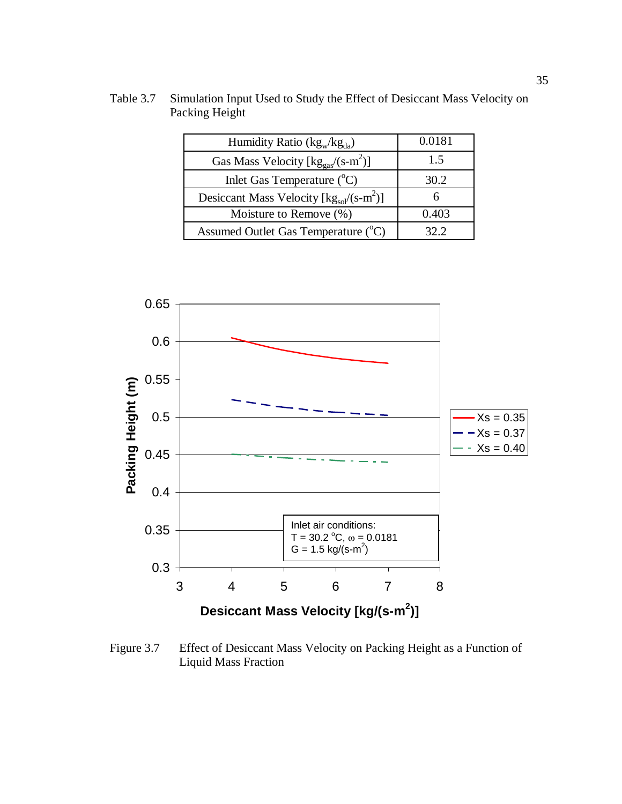Table 3.7 Simulation Input Used to Study the Effect of Desiccant Mass Velocity on Packing Height

| Humidity Ratio $(kg_w/kg_{da})$                             | 0.0181 |
|-------------------------------------------------------------|--------|
| Gas Mass Velocity $[\text{kg}_{\text{gas}}/(\text{s-m}^2)]$ | 1.5    |
| Inlet Gas Temperature $({}^{\circ}C)$                       | 30.2   |
| Desiccant Mass Velocity $[kg_{sol}/(s-m^2)]$                |        |
| Moisture to Remove (%)                                      | 0.403  |
| Assumed Outlet Gas Temperature (°C)                         | 32.2.  |



Figure 3.7 Effect of Desiccant Mass Velocity on Packing Height as a Function of Liquid Mass Fraction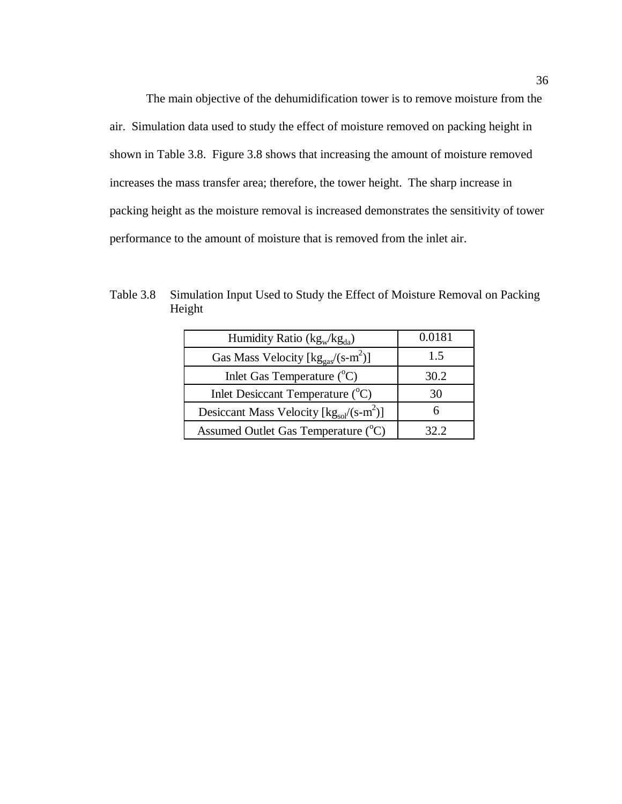The main objective of the dehumidification tower is to remove moisture from the air. Simulation data used to study the effect of moisture removed on packing height in shown in Table 3.8. Figure 3.8 shows that increasing the amount of moisture removed increases the mass transfer area; therefore, the tower height. The sharp increase in packing height as the moisture removal is increased demonstrates the sensitivity of tower performance to the amount of moisture that is removed from the inlet air.

| Humidity Ratio $(kg_w/kg_{da})$                                    | 0.0181 |
|--------------------------------------------------------------------|--------|
| Gas Mass Velocity $[\text{kg}_{\text{gas}}/(\text{s}-\text{m}^2)]$ | 1.5    |
| Inlet Gas Temperature $({}^{\circ}C)$                              | 30.2   |
| Inlet Desiccant Temperature ( <sup>°</sup> C)                      | 30     |
| Desiceant Mass Velocity $[kg_{sol}/(s-m^2)]$                       |        |
| Assumed Outlet Gas Temperature (°C)                                | 32.2   |

Table 3.8 Simulation Input Used to Study the Effect of Moisture Removal on Packing Height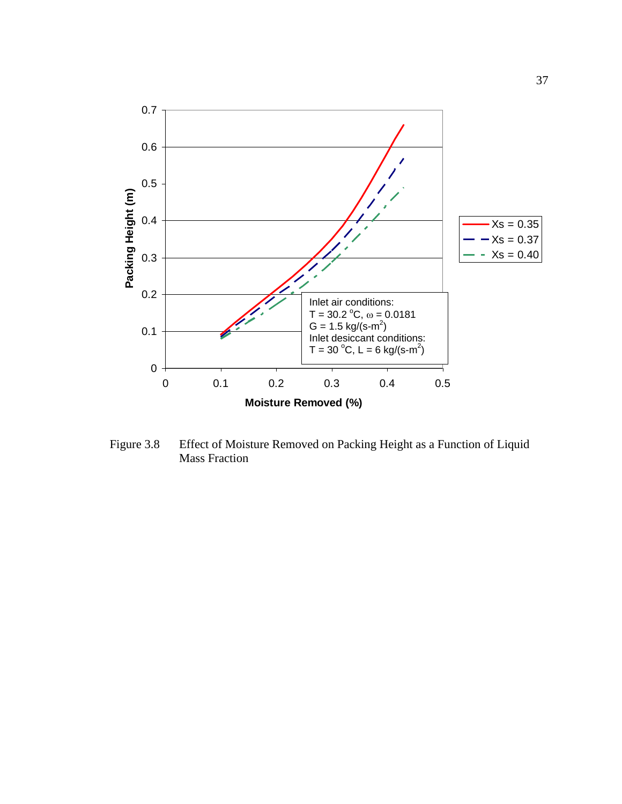

Figure 3.8 Effect of Moisture Removed on Packing Height as a Function of Liquid Mass Fraction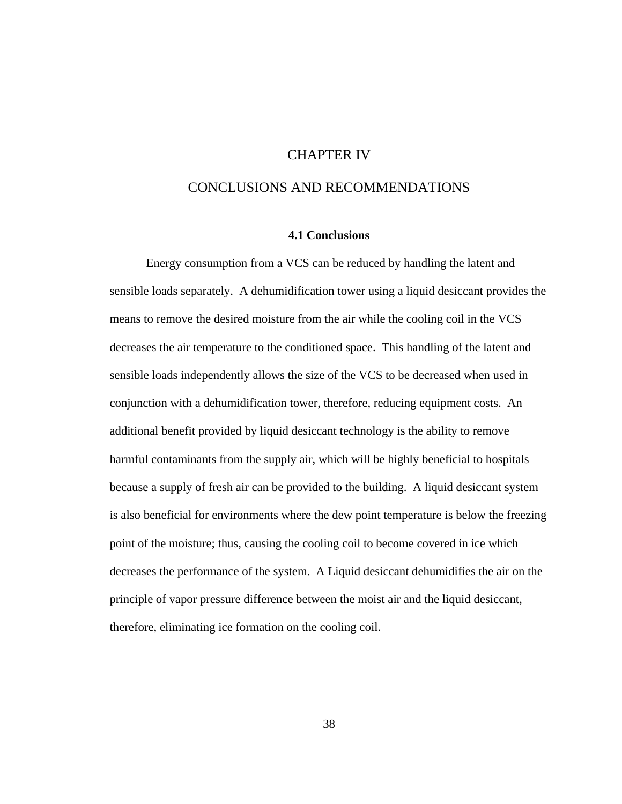## CHAPTER IV

## CONCLUSIONS AND RECOMMENDATIONS

#### **4.1 Conclusions**

Energy consumption from a VCS can be reduced by handling the latent and sensible loads separately. A dehumidification tower using a liquid desiccant provides the means to remove the desired moisture from the air while the cooling coil in the VCS decreases the air temperature to the conditioned space. This handling of the latent and sensible loads independently allows the size of the VCS to be decreased when used in conjunction with a dehumidification tower, therefore, reducing equipment costs. An additional benefit provided by liquid desiccant technology is the ability to remove harmful contaminants from the supply air, which will be highly beneficial to hospitals because a supply of fresh air can be provided to the building. A liquid desiccant system is also beneficial for environments where the dew point temperature is below the freezing point of the moisture; thus, causing the cooling coil to become covered in ice which decreases the performance of the system. A Liquid desiccant dehumidifies the air on the principle of vapor pressure difference between the moist air and the liquid desiccant, therefore, eliminating ice formation on the cooling coil.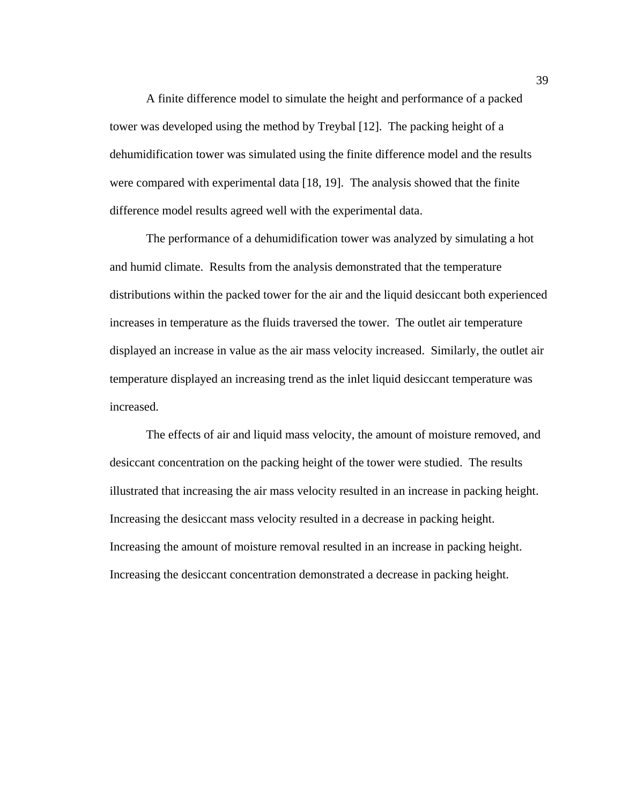A finite difference model to simulate the height and performance of a packed tower was developed using the method by Treybal [12]. The packing height of a dehumidification tower was simulated using the finite difference model and the results were compared with experimental data [18, 19]. The analysis showed that the finite difference model results agreed well with the experimental data.

The performance of a dehumidification tower was analyzed by simulating a hot and humid climate. Results from the analysis demonstrated that the temperature distributions within the packed tower for the air and the liquid desiccant both experienced increases in temperature as the fluids traversed the tower. The outlet air temperature displayed an increase in value as the air mass velocity increased. Similarly, the outlet air temperature displayed an increasing trend as the inlet liquid desiccant temperature was increased.

The effects of air and liquid mass velocity, the amount of moisture removed, and desiccant concentration on the packing height of the tower were studied. The results illustrated that increasing the air mass velocity resulted in an increase in packing height. Increasing the desiccant mass velocity resulted in a decrease in packing height. Increasing the amount of moisture removal resulted in an increase in packing height. Increasing the desiccant concentration demonstrated a decrease in packing height.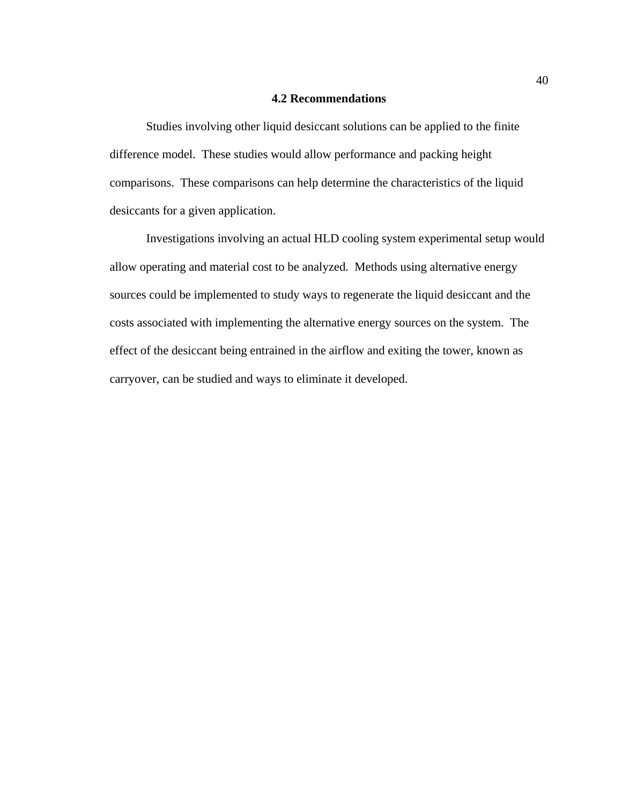#### **4.2 Recommendations**

Studies involving other liquid desiccant solutions can be applied to the finite difference model. These studies would allow performance and packing height comparisons. These comparisons can help determine the characteristics of the liquid desiccants for a given application.

Investigations involving an actual HLD cooling system experimental setup would allow operating and material cost to be analyzed. Methods using alternative energy sources could be implemented to study ways to regenerate the liquid desiccant and the costs associated with implementing the alternative energy sources on the system. The effect of the desiccant being entrained in the airflow and exiting the tower, known as carryover, can be studied and ways to eliminate it developed.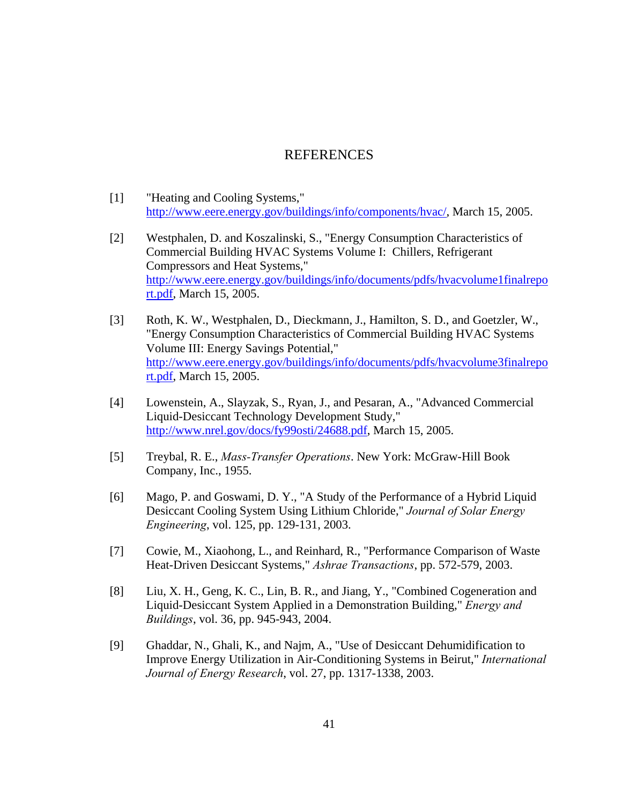## REFERENCES

- [1] "Heating and Cooling Systems," [http://www.eere.energy.gov/buildings/info/components/hvac/,](http://www.eere.energy.gov/buildings/info/components/hvac/) March 15, 2005.
- [2] Westphalen, D. and Koszalinski, S., "Energy Consumption Characteristics of Commercial Building HVAC Systems Volume I: Chillers, Refrigerant Compressors and Heat Systems," [http://www.eere.energy.gov/buildings/info/documents/pdfs/hvacvolume1finalrepo](http://www.eere.energy.gov/buildings/info/documents/pdfs/hvacvolume1finalreport.pdf) [rt.pdf](http://www.eere.energy.gov/buildings/info/documents/pdfs/hvacvolume1finalreport.pdf), March 15, 2005.
- [3] Roth, K. W., Westphalen, D., Dieckmann, J., Hamilton, S. D., and Goetzler, W., "Energy Consumption Characteristics of Commercial Building HVAC Systems Volume III: Energy Savings Potential," [http://www.eere.energy.gov/buildings/info/documents/pdfs/hvacvolume3finalrepo](http://www.eere.energy.gov/buildings/info/documents/pdfs/hvacvolume3finalreport.pdf) [rt.pdf](http://www.eere.energy.gov/buildings/info/documents/pdfs/hvacvolume3finalreport.pdf), March 15, 2005.
- [4] Lowenstein, A., Slayzak, S., Ryan, J., and Pesaran, A., "Advanced Commercial Liquid-Desiccant Technology Development Study," [http://www.nrel.gov/docs/fy99osti/24688.pdf,](http://www.nrel.gov/docs/fy99osti/24688.pdf) March 15, 2005.
- [5] Treybal, R. E., *Mass-Transfer Operations*. New York: McGraw-Hill Book Company, Inc., 1955.
- [6] Mago, P. and Goswami, D. Y., "A Study of the Performance of a Hybrid Liquid Desiccant Cooling System Using Lithium Chloride," *Journal of Solar Energy Engineering*, vol. 125, pp. 129-131, 2003.
- [7] Cowie, M., Xiaohong, L., and Reinhard, R., "Performance Comparison of Waste Heat-Driven Desiccant Systems," *Ashrae Transactions*, pp. 572-579, 2003.
- [8] Liu, X. H., Geng, K. C., Lin, B. R., and Jiang, Y., "Combined Cogeneration and Liquid-Desiccant System Applied in a Demonstration Building," *Energy and Buildings*, vol. 36, pp. 945-943, 2004.
- [9] Ghaddar, N., Ghali, K., and Najm, A., "Use of Desiccant Dehumidification to Improve Energy Utilization in Air-Conditioning Systems in Beirut," *International Journal of Energy Research*, vol. 27, pp. 1317-1338, 2003.